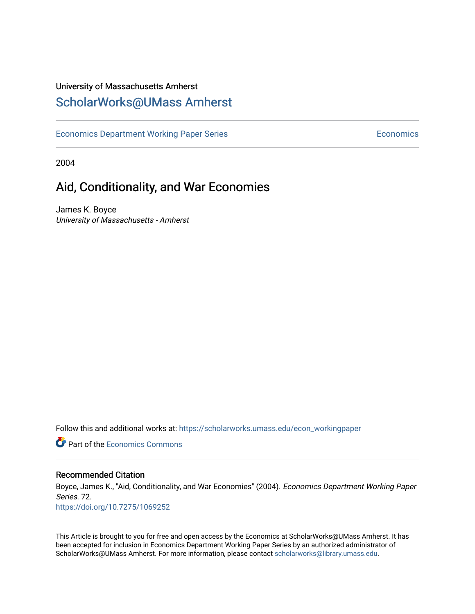## University of Massachusetts Amherst [ScholarWorks@UMass Amherst](https://scholarworks.umass.edu/)

[Economics Department Working Paper Series](https://scholarworks.umass.edu/econ_workingpaper) **Economics** Economics

2004

# Aid, Conditionality, and War Economies

James K. Boyce University of Massachusetts - Amherst

Follow this and additional works at: [https://scholarworks.umass.edu/econ\\_workingpaper](https://scholarworks.umass.edu/econ_workingpaper?utm_source=scholarworks.umass.edu%2Fecon_workingpaper%2F72&utm_medium=PDF&utm_campaign=PDFCoverPages) 

**C** Part of the [Economics Commons](http://network.bepress.com/hgg/discipline/340?utm_source=scholarworks.umass.edu%2Fecon_workingpaper%2F72&utm_medium=PDF&utm_campaign=PDFCoverPages)

#### Recommended Citation

Boyce, James K., "Aid, Conditionality, and War Economies" (2004). Economics Department Working Paper Series. 72.

<https://doi.org/10.7275/1069252>

This Article is brought to you for free and open access by the Economics at ScholarWorks@UMass Amherst. It has been accepted for inclusion in Economics Department Working Paper Series by an authorized administrator of ScholarWorks@UMass Amherst. For more information, please contact [scholarworks@library.umass.edu.](mailto:scholarworks@library.umass.edu)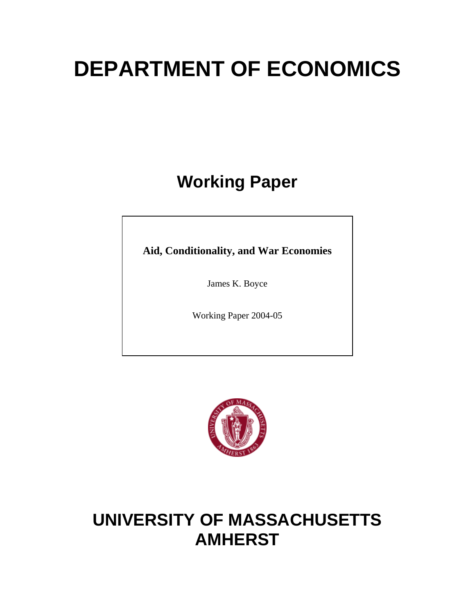# **DEPARTMENT OF ECONOMICS**

**Working Paper** 

**Aid, Conditionality, and War Economies** 

James K. Boyce

Working Paper 2004-05



# **UNIVERSITY OF MASSACHUSETTS AMHERST**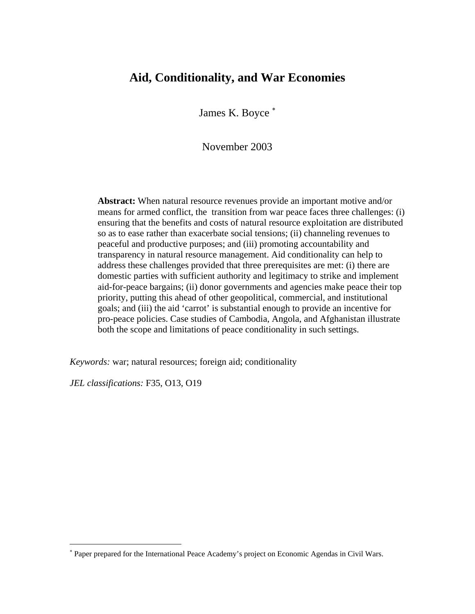### **Aid, Conditionality, and War Economies**

James K. Boyce [∗](#page-2-0)

November 2003

**Abstract:** When natural resource revenues provide an important motive and/or means for armed conflict, the transition from war peace faces three challenges: (i) ensuring that the benefits and costs of natural resource exploitation are distributed so as to ease rather than exacerbate social tensions; (ii) channeling revenues to peaceful and productive purposes; and (iii) promoting accountability and transparency in natural resource management. Aid conditionality can help to address these challenges provided that three prerequisites are met: (i) there are domestic parties with sufficient authority and legitimacy to strike and implement aid-for-peace bargains; (ii) donor governments and agencies make peace their top priority, putting this ahead of other geopolitical, commercial, and institutional goals; and (iii) the aid 'carrot' is substantial enough to provide an incentive for pro-peace policies. Case studies of Cambodia, Angola, and Afghanistan illustrate both the scope and limitations of peace conditionality in such settings.

*Keywords:* war; natural resources; foreign aid; conditionality

*JEL classifications:* F35, O13, O19

 $\overline{a}$ 

<span id="page-2-0"></span><sup>∗</sup> Paper prepared for the International Peace Academy's project on Economic Agendas in Civil Wars.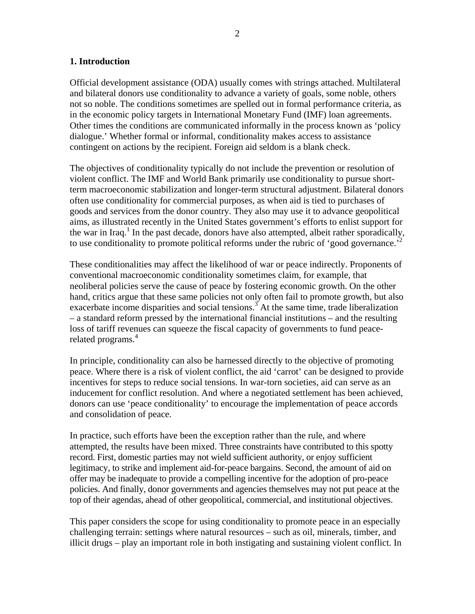#### **1. Introduction**

Official development assistance (ODA) usually comes with strings attached. Multilateral and bilateral donors use conditionality to advance a variety of goals, some noble, others not so noble. The conditions sometimes are spelled out in formal performance criteria, as in the economic policy targets in International Monetary Fund (IMF) loan agreements. Other times the conditions are communicated informally in the process known as 'policy dialogue.' Whether formal or informal, conditionality makes access to assistance contingent on actions by the recipient. Foreign aid seldom is a blank check.

The objectives of conditionality typically do not include the prevention or resolution of violent conflict. The IMF and World Bank primarily use conditionality to pursue shortterm macroeconomic stabilization and longer-term structural adjustment. Bilateral donors often use conditionality for commercial purposes, as when aid is tied to purchases of goods and services from the donor country. They also may use it to advance geopolitical aims, as illustrated recently in the United States government's efforts to enlist support for the war in Iraq.<sup>[1](#page-27-0)</sup> In the past decade, donors have also attempted, albeit rather sporadically, to use conditionality to promote political reforms under the rubric of 'good governance.<sup>[2](#page-27-1)</sup>

These conditionalities may affect the likelihood of war or peace indirectly. Proponents of conventional macroeconomic conditionality sometimes claim, for example, that neoliberal policies serve the cause of peace by fostering economic growth. On the other hand, critics argue that these same policies not only often fail to promote growth, but also exacerbate income disparities and social tensions.<sup>[3](#page-27-2)</sup> At the same time, trade liberalization – a standard reform pressed by the international financial institutions – and the resulting loss of tariff revenues can squeeze the fiscal capacity of governments to fund peace-related programs.<sup>[4](#page-27-3)</sup>

In principle, conditionality can also be harnessed directly to the objective of promoting peace. Where there is a risk of violent conflict, the aid 'carrot' can be designed to provide incentives for steps to reduce social tensions. In war-torn societies, aid can serve as an inducement for conflict resolution. And where a negotiated settlement has been achieved, donors can use 'peace conditionality' to encourage the implementation of peace accords and consolidation of peace.

In practice, such efforts have been the exception rather than the rule, and where attempted, the results have been mixed. Three constraints have contributed to this spotty record. First, domestic parties may not wield sufficient authority, or enjoy sufficient legitimacy, to strike and implement aid-for-peace bargains. Second, the amount of aid on offer may be inadequate to provide a compelling incentive for the adoption of pro-peace policies. And finally, donor governments and agencies themselves may not put peace at the top of their agendas, ahead of other geopolitical, commercial, and institutional objectives.

This paper considers the scope for using conditionality to promote peace in an especially challenging terrain: settings where natural resources – such as oil, minerals, timber, and illicit drugs – play an important role in both instigating and sustaining violent conflict. In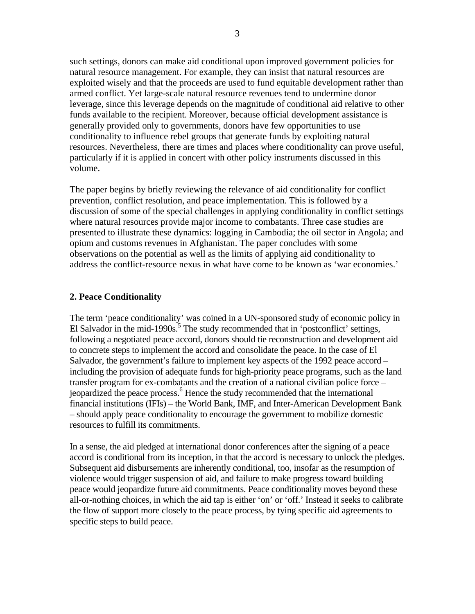such settings, donors can make aid conditional upon improved government policies for natural resource management. For example, they can insist that natural resources are exploited wisely and that the proceeds are used to fund equitable development rather than armed conflict. Yet large-scale natural resource revenues tend to undermine donor leverage, since this leverage depends on the magnitude of conditional aid relative to other funds available to the recipient. Moreover, because official development assistance is generally provided only to governments, donors have few opportunities to use conditionality to influence rebel groups that generate funds by exploiting natural resources. Nevertheless, there are times and places where conditionality can prove useful, particularly if it is applied in concert with other policy instruments discussed in this volume.

The paper begins by briefly reviewing the relevance of aid conditionality for conflict prevention, conflict resolution, and peace implementation. This is followed by a discussion of some of the special challenges in applying conditionality in conflict settings where natural resources provide major income to combatants. Three case studies are presented to illustrate these dynamics: logging in Cambodia; the oil sector in Angola; and opium and customs revenues in Afghanistan. The paper concludes with some observations on the potential as well as the limits of applying aid conditionality to address the conflict-resource nexus in what have come to be known as 'war economies.'

#### **2. Peace Conditionality**

The term 'peace conditionality' was coined in a UN-sponsored study of economic policy in El Salvador in the mid-1990s.<sup>[5](#page-27-4)</sup> The study recommended that in 'postconflict' settings, following a negotiated peace accord, donors should tie reconstruction and development aid to concrete steps to implement the accord and consolidate the peace. In the case of El Salvador, the government's failure to implement key aspects of the 1992 peace accord – including the provision of adequate funds for high-priority peace programs, such as the land transfer program for ex-combatants and the creation of a national civilian police force – jeopardized the peace process.<sup>[6](#page-27-5)</sup> Hence the study recommended that the international financial institutions (IFIs) – the World Bank, IMF, and Inter-American Development Bank – should apply peace conditionality to encourage the government to mobilize domestic resources to fulfill its commitments.

In a sense, the aid pledged at international donor conferences after the signing of a peace accord is conditional from its inception, in that the accord is necessary to unlock the pledges. Subsequent aid disbursements are inherently conditional, too, insofar as the resumption of violence would trigger suspension of aid, and failure to make progress toward building peace would jeopardize future aid commitments. Peace conditionality moves beyond these all-or-nothing choices, in which the aid tap is either 'on' or 'off.' Instead it seeks to calibrate the flow of support more closely to the peace process, by tying specific aid agreements to specific steps to build peace.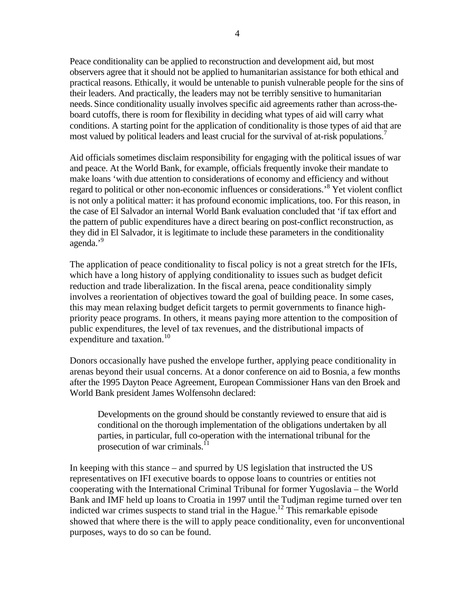Peace conditionality can be applied to reconstruction and development aid, but most observers agree that it should not be applied to humanitarian assistance for both ethical and practical reasons. Ethically, it would be untenable to punish vulnerable people for the sins of their leaders. And practically, the leaders may not be terribly sensitive to humanitarian needs. Since conditionality usually involves specific aid agreements rather than across-theboard cutoffs, there is room for flexibility in deciding what types of aid will carry what conditions. A starting point for the application of conditionality is those types of aid that are most valued by political leaders and least crucial for the survival of at-risk populations.<sup>[7](#page-27-6)</sup>

Aid officials sometimes disclaim responsibility for engaging with the political issues of war and peace. At the World Bank, for example, officials frequently invoke their mandate to make loans 'with due attention to considerations of economy and efficiency and without regard to political or other non-economic influences or considerations.<sup>[8](#page-27-7)</sup> Yet violent conflict is not only a political matter: it has profound economic implications, too. For this reason, in the case of El Salvador an internal World Bank evaluation concluded that 'if tax effort and the pattern of public expenditures have a direct bearing on post-conflict reconstruction, as they did in El Salvador, it is legitimate to include these parameters in the conditionality agenda.'<sup>[9](#page-27-8)</sup>

The application of peace conditionality to fiscal policy is not a great stretch for the IFIs, which have a long history of applying conditionality to issues such as budget deficit reduction and trade liberalization. In the fiscal arena, peace conditionality simply involves a reorientation of objectives toward the goal of building peace. In some cases, this may mean relaxing budget deficit targets to permit governments to finance highpriority peace programs. In others, it means paying more attention to the composition of public expenditures, the level of tax revenues, and the distributional impacts of expenditure and taxation.<sup>[10](#page-27-9)</sup>

Donors occasionally have pushed the envelope further, applying peace conditionality in arenas beyond their usual concerns. At a donor conference on aid to Bosnia, a few months after the 1995 Dayton Peace Agreement, European Commissioner Hans van den Broek and World Bank president James Wolfensohn declared:

 Developments on the ground should be constantly reviewed to ensure that aid is conditional on the thorough implementation of the obligations undertaken by all parties, in particular, full co-operation with the international tribunal for the prosecution of war criminals.<sup>[11](#page-27-10)</sup>

In keeping with this stance – and spurred by US legislation that instructed the US representatives on IFI executive boards to oppose loans to countries or entities not cooperating with the International Criminal Tribunal for former Yugoslavia – the World Bank and IMF held up loans to Croatia in 1997 until the Tudjman regime turned over ten indicted war crimes suspects to stand trial in the Hague.<sup>12</sup> This remarkable episode showed that where there is the will to apply peace conditionality, even for unconventional purposes, ways to do so can be found.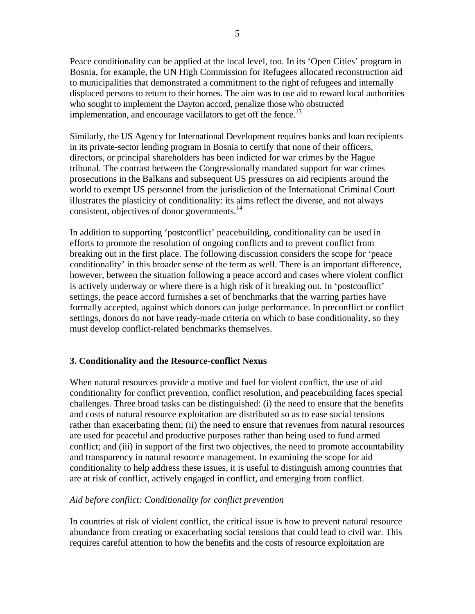Peace conditionality can be applied at the local level, too. In its 'Open Cities' program in Bosnia, for example, the UN High Commission for Refugees allocated reconstruction aid to municipalities that demonstrated a commitment to the right of refugees and internally displaced persons to return to their homes. The aim was to use aid to reward local authorities who sought to implement the Dayton accord, penalize those who obstructed implementation, and encourage vacillators to get off the fence.<sup>13</sup>

Similarly, the US Agency for International Development requires banks and loan recipients in its private-sector lending program in Bosnia to certify that none of their officers, directors, or principal shareholders has been indicted for war crimes by the Hague tribunal. The contrast between the Congressionally mandated support for war crimes prosecutions in the Balkans and subsequent US pressures on aid recipients around the world to exempt US personnel from the jurisdiction of the International Criminal Court illustrates the plasticity of conditionality: its aims reflect the diverse, and not always consistent, objectives of donor governments.<sup>14</sup>

In addition to supporting 'postconflict' peacebuilding, conditionality can be used in efforts to promote the resolution of ongoing conflicts and to prevent conflict from breaking out in the first place. The following discussion considers the scope for 'peace conditionality' in this broader sense of the term as well. There is an important difference, however, between the situation following a peace accord and cases where violent conflict is actively underway or where there is a high risk of it breaking out. In 'postconflict' settings, the peace accord furnishes a set of benchmarks that the warring parties have formally accepted, against which donors can judge performance. In preconflict or conflict settings, donors do not have ready-made criteria on which to base conditionality, so they must develop conflict-related benchmarks themselves.

#### **3. Conditionality and the Resource-conflict Nexus**

When natural resources provide a motive and fuel for violent conflict, the use of aid conditionality for conflict prevention, conflict resolution, and peacebuilding faces special challenges. Three broad tasks can be distinguished: (i) the need to ensure that the benefits and costs of natural resource exploitation are distributed so as to ease social tensions rather than exacerbating them; (ii) the need to ensure that revenues from natural resources are used for peaceful and productive purposes rather than being used to fund armed conflict; and (iii) in support of the first two objectives, the need to promote accountability and transparency in natural resource management. In examining the scope for aid conditionality to help address these issues, it is useful to distinguish among countries that are at risk of conflict, actively engaged in conflict, and emerging from conflict.

#### *Aid before conflict: Conditionality for conflict prevention*

In countries at risk of violent conflict, the critical issue is how to prevent natural resource abundance from creating or exacerbating social tensions that could lead to civil war. This requires careful attention to how the benefits and the costs of resource exploitation are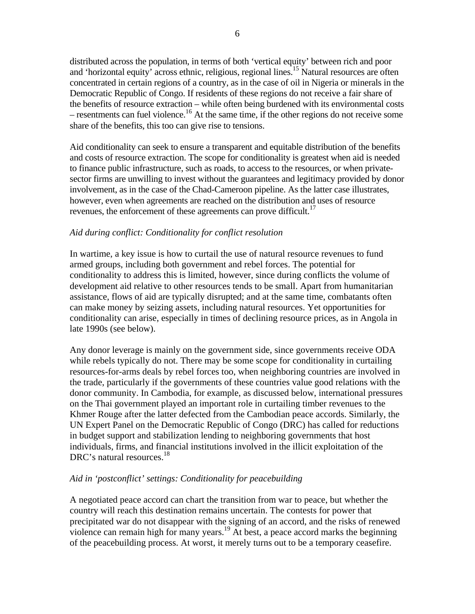distributed across the population, in terms of both 'vertical equity' between rich and poor and 'horizontal equity' across ethnic, religious, regional lines.<sup>15</sup> Natural resources are often concentrated in certain regions of a country, as in the case of oil in Nigeria or minerals in the Democratic Republic of Congo. If residents of these regions do not receive a fair share of the benefits of resource extraction – while often being burdened with its environmental costs – resentments can fuel violence.<sup>16</sup> At the same time, if the other regions do not receive some share of the benefits, this too can give rise to tensions.

Aid conditionality can seek to ensure a transparent and equitable distribution of the benefits and costs of resource extraction. The scope for conditionality is greatest when aid is needed to finance public infrastructure, such as roads, to access to the resources, or when privatesector firms are unwilling to invest without the guarantees and legitimacy provided by donor involvement, as in the case of the Chad-Cameroon pipeline. As the latter case illustrates, however, even when agreements are reached on the distribution and uses of resource revenues, the enforcement of these agreements can prove difficult.<sup>[17](#page-27-16)</sup>

#### *Aid during conflict: Conditionality for conflict resolution*

In wartime, a key issue is how to curtail the use of natural resource revenues to fund armed groups, including both government and rebel forces. The potential for conditionality to address this is limited, however, since during conflicts the volume of development aid relative to other resources tends to be small. Apart from humanitarian assistance, flows of aid are typically disrupted; and at the same time, combatants often can make money by seizing assets, including natural resources. Yet opportunities for conditionality can arise, especially in times of declining resource prices, as in Angola in late 1990s (see below).

Any donor leverage is mainly on the government side, since governments receive ODA while rebels typically do not. There may be some scope for conditionality in curtailing resources-for-arms deals by rebel forces too, when neighboring countries are involved in the trade, particularly if the governments of these countries value good relations with the donor community. In Cambodia, for example, as discussed below, international pressures on the Thai government played an important role in curtailing timber revenues to the Khmer Rouge after the latter defected from the Cambodian peace accords. Similarly, the UN Expert Panel on the Democratic Republic of Congo (DRC) has called for reductions in budget support and stabilization lending to neighboring governments that host individuals, firms, and financial institutions involved in the illicit exploitation of the DRC's natural resources.<sup>[18](#page-27-17)</sup>

#### *Aid in 'postconflict' settings: Conditionality for peacebuilding*

A negotiated peace accord can chart the transition from war to peace, but whether the country will reach this destination remains uncertain. The contests for power that precipitated war do not disappear with the signing of an accord, and the risks of renewed violence can remain high for many years.<sup>19</sup> At best, a peace accord marks the beginning of the peacebuilding process. At worst, it merely turns out to be a temporary ceasefire.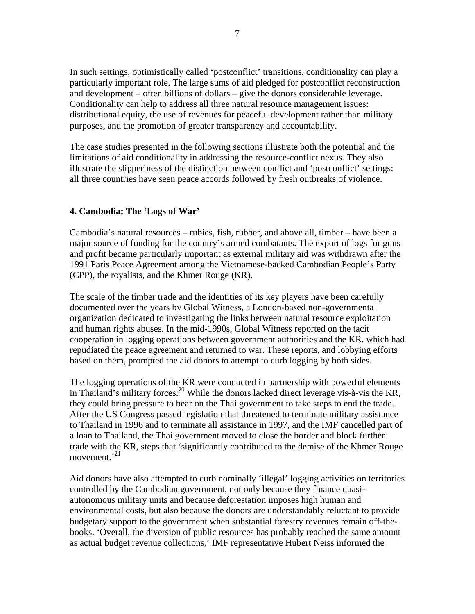In such settings, optimistically called 'postconflict' transitions, conditionality can play a particularly important role. The large sums of aid pledged for postconflict reconstruction and development – often billions of dollars – give the donors considerable leverage. Conditionality can help to address all three natural resource management issues: distributional equity, the use of revenues for peaceful development rather than military purposes, and the promotion of greater transparency and accountability.

The case studies presented in the following sections illustrate both the potential and the limitations of aid conditionality in addressing the resource-conflict nexus. They also illustrate the slipperiness of the distinction between conflict and 'postconflict' settings: all three countries have seen peace accords followed by fresh outbreaks of violence.

#### **4. Cambodia: The 'Logs of War'**

Cambodia's natural resources – rubies, fish, rubber, and above all, timber – have been a major source of funding for the country's armed combatants. The export of logs for guns and profit became particularly important as external military aid was withdrawn after the 1991 Paris Peace Agreement among the Vietnamese-backed Cambodian People's Party (CPP), the royalists, and the Khmer Rouge (KR).

The scale of the timber trade and the identities of its key players have been carefully documented over the years by Global Witness, a London-based non-governmental organization dedicated to investigating the links between natural resource exploitation and human rights abuses. In the mid-1990s, Global Witness reported on the tacit cooperation in logging operations between government authorities and the KR, which had repudiated the peace agreement and returned to war. These reports, and lobbying efforts based on them, prompted the aid donors to attempt to curb logging by both sides.

The logging operations of the KR were conducted in partnership with powerful elements in Thailand's military forces.<sup>20</sup> While the donors lacked direct leverage vis-à-vis the KR, they could bring pressure to bear on the Thai government to take steps to end the trade. After the US Congress passed legislation that threatened to terminate military assistance to Thailand in 1996 and to terminate all assistance in 1997, and the IMF cancelled part of a loan to Thailand, the Thai government moved to close the border and block further trade with the KR, steps that 'significantly contributed to the demise of the Khmer Rouge movement.<sup>21</sup>

Aid donors have also attempted to curb nominally 'illegal' logging activities on territories controlled by the Cambodian government, not only because they finance quasiautonomous military units and because deforestation imposes high human and environmental costs, but also because the donors are understandably reluctant to provide budgetary support to the government when substantial forestry revenues remain off-thebooks. 'Overall, the diversion of public resources has probably reached the same amount as actual budget revenue collections,' IMF representative Hubert Neiss informed the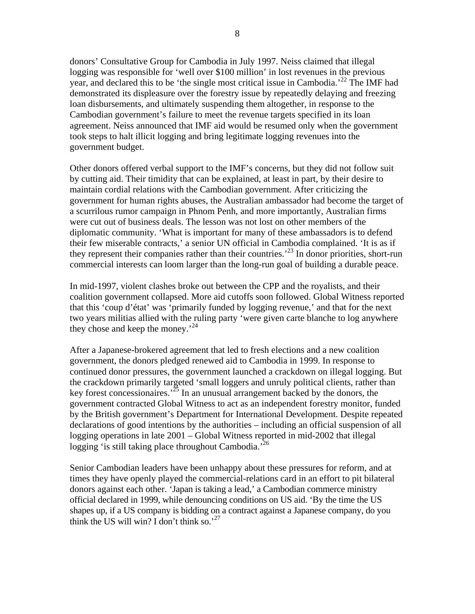donors' Consultative Group for Cambodia in July 1997. Neiss claimed that illegal logging was responsible for 'well over \$100 million' in lost revenues in the previous year, and declared this to be 'the single most critical issue in Cambodia.<sup>22</sup> The IMF had demonstrated its displeasure over the forestry issue by repeatedly delaying and freezing loan disbursements, and ultimately suspending them altogether, in response to the Cambodian government's failure to meet the revenue targets specified in its loan agreement. Neiss announced that IMF aid would be resumed only when the government took steps to halt illicit logging and bring legitimate logging revenues into the government budget.

Other donors offered verbal support to the IMF's concerns, but they did not follow suit by cutting aid. Their timidity that can be explained, at least in part, by their desire to maintain cordial relations with the Cambodian government. After criticizing the government for human rights abuses, the Australian ambassador had become the target of a scurrilous rumor campaign in Phnom Penh, and more importantly, Australian firms were cut out of business deals. The lesson was not lost on other members of the diplomatic community. 'What is important for many of these ambassadors is to defend their few miserable contracts,' a senior UN official in Cambodia complained. 'It is as if they represent their companies rather than their countries.<sup> $23$ </sup> In donor priorities, short-run commercial interests can loom larger than the long-run goal of building a durable peace.

In mid-1997, violent clashes broke out between the CPP and the royalists, and their coalition government collapsed. More aid cutoffs soon followed. Global Witness reported that this 'coup d'état' was 'primarily funded by logging revenue,' and that for the next two years militias allied with the ruling party 'were given carte blanche to log anywhere they chose and keep the money.<sup>24</sup>

After a Japanese-brokered agreement that led to fresh elections and a new coalition government, the donors pledged renewed aid to Cambodia in 1999. In response to continued donor pressures, the government launched a crackdown on illegal logging. But the crackdown primarily targeted 'small loggers and unruly political clients, rather than key forest concessionaires.<sup> $25$ </sup> In an unusual arrangement backed by the donors, the government contracted Global Witness to act as an independent forestry monitor, funded by the British government's Department for International Development. Despite repeated declarations of good intentions by the authorities – including an official suspension of all logging operations in late 2001 – Global Witness reported in mid-2002 that illegal logging 'is still taking place throughout Cambodia.<sup>'[26](#page-27-25)</sup>

Senior Cambodian leaders have been unhappy about these pressures for reform, and at times they have openly played the commercial-relations card in an effort to pit bilateral donors against each other. 'Japan is taking a lead,' a Cambodian commerce ministry official declared in 1999, while denouncing conditions on US aid. 'By the time the US shapes up, if a US company is bidding on a contract against a Japanese company, do you think the US will win? I don't think so.'<sup>27</sup>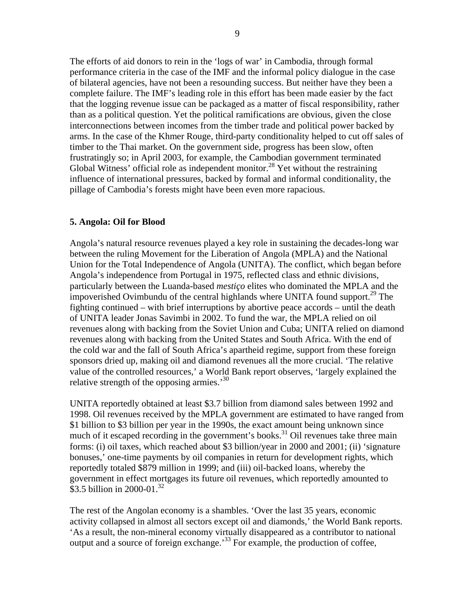The efforts of aid donors to rein in the 'logs of war' in Cambodia, through formal performance criteria in the case of the IMF and the informal policy dialogue in the case of bilateral agencies, have not been a resounding success. But neither have they been a complete failure. The IMF's leading role in this effort has been made easier by the fact that the logging revenue issue can be packaged as a matter of fiscal responsibility, rather than as a political question. Yet the political ramifications are obvious, given the close interconnections between incomes from the timber trade and political power backed by arms. In the case of the Khmer Rouge, third-party conditionality helped to cut off sales of timber to the Thai market. On the government side, progress has been slow, often frustratingly so; in April 2003, for example, the Cambodian government terminated Global Witness' official role as independent monitor.<sup>28</sup> Yet without the restraining influence of international pressures, backed by formal and informal conditionality, the pillage of Cambodia's forests might have been even more rapacious.

#### **5. Angola: Oil for Blood**

Angola's natural resource revenues played a key role in sustaining the decades-long war between the ruling Movement for the Liberation of Angola (MPLA) and the National Union for the Total Independence of Angola (UNITA). The conflict, which began before Angola's independence from Portugal in 1975, reflected class and ethnic divisions, particularly between the Luanda-based *mestiço* elites who dominated the MPLA and the impoverished Ovimbundu of the central highlands where UNITA found support.<sup>29</sup> The fighting continued – with brief interruptions by abortive peace accords – until the death of UNITA leader Jonas Savimbi in 2002. To fund the war, the MPLA relied on oil revenues along with backing from the Soviet Union and Cuba; UNITA relied on diamond revenues along with backing from the United States and South Africa. With the end of the cold war and the fall of South Africa's apartheid regime, support from these foreign sponsors dried up, making oil and diamond revenues all the more crucial. 'The relative value of the controlled resources,' a World Bank report observes, 'largely explained the relative strength of the opposing armies.<sup>[30](#page-27-29)</sup>

UNITA reportedly obtained at least \$3.7 billion from diamond sales between 1992 and 1998. Oil revenues received by the MPLA government are estimated to have ranged from \$1 billion to \$3 billion per year in the 1990s, the exact amount being unknown since much of it escaped recording in the government's books.<sup>31</sup> Oil revenues take three main forms: (i) oil taxes, which reached about \$3 billion/year in 2000 and 2001; (ii) 'signature bonuses,' one-time payments by oil companies in return for development rights, which reportedly totaled \$879 million in 1999; and (iii) oil-backed loans, whereby the government in effect mortgages its future oil revenues, which reportedly amounted to \$3.5 billion in 2000-01.<sup>[32](#page-27-31)</sup>

The rest of the Angolan economy is a shambles. 'Over the last 35 years, economic activity collapsed in almost all sectors except oil and diamonds,' the World Bank reports. 'As a result, the non-mineral economy virtually disappeared as a contributor to national output and a source of foreign exchange.'[33 F](#page-27-32)or example, the production of coffee,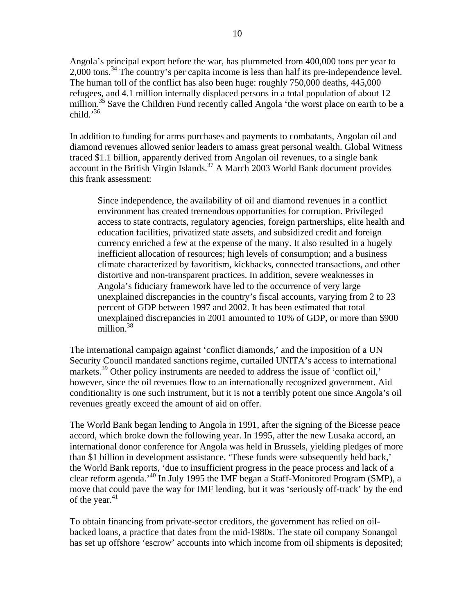Angola's principal export before the war, has plummeted from 400,000 tons per year to 2,000 tons.<sup>34</sup> The country's per capita income is less than half its pre-independence level. The human toll of the conflict has also been huge: roughly 750,000 deaths, 445,000 refugees, and 4.1 million internally displaced persons in a total population of about 12 million.<sup>35</sup> Save the Children Fund recently called Angola 'the worst place on earth to be a child. $^{36}$ 

In addition to funding for arms purchases and payments to combatants, Angolan oil and diamond revenues allowed senior leaders to amass great personal wealth. Global Witness traced \$1.1 billion, apparently derived from Angolan oil revenues, to a single bank account in the British Virgin Islands.<sup>37</sup> A March 2003 World Bank document provides this frank assessment:

Since independence, the availability of oil and diamond revenues in a conflict environment has created tremendous opportunities for corruption. Privileged access to state contracts, regulatory agencies, foreign partnerships, elite health and education facilities, privatized state assets, and subsidized credit and foreign currency enriched a few at the expense of the many. It also resulted in a hugely inefficient allocation of resources; high levels of consumption; and a business climate characterized by favoritism, kickbacks, connected transactions, and other distortive and non-transparent practices. In addition, severe weaknesses in Angola's fiduciary framework have led to the occurrence of very large unexplained discrepancies in the country's fiscal accounts, varying from 2 to 23 percent of GDP between 1997 and 2002. It has been estimated that total unexplained discrepancies in 2001 amounted to 10% of GDP, or more than \$900 million.<sup>[38](#page-27-37)</sup>

The international campaign against 'conflict diamonds,' and the imposition of a UN Security Council mandated sanctions regime, curtailed UNITA's access to international markets.<sup>39</sup> Other policy instruments are needed to address the issue of 'conflict oil,' however, since the oil revenues flow to an internationally recognized government. Aid conditionality is one such instrument, but it is not a terribly potent one since Angola's oil revenues greatly exceed the amount of aid on offer.

The World Bank began lending to Angola in 1991, after the signing of the Bicesse peace accord, which broke down the following year. In 1995, after the new Lusaka accord, an international donor conference for Angola was held in Brussels, yielding pledges of more than \$1 billion in development assistance. 'These funds were subsequently held back,' the World Bank reports, 'due to insufficient progress in the peace process and lack of a clear reform agenda.['40 I](#page-27-39)n July 1995 the IMF began a Staff-Monitored Program (SMP), a move that could pave the way for IMF lending, but it was 'seriously off-track' by the end of the year.<sup>[41](#page-27-40)</sup>

To obtain financing from private-sector creditors, the government has relied on oilbacked loans, a practice that dates from the mid-1980s. The state oil company Sonangol has set up offshore 'escrow' accounts into which income from oil shipments is deposited;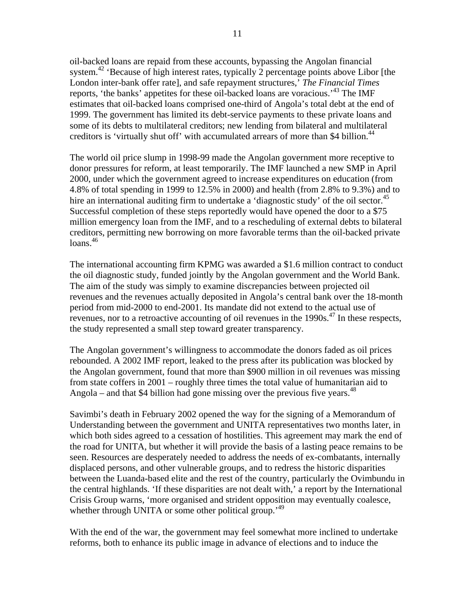oil-backed loans are repaid from these accounts, bypassing the Angolan financial system.<sup>42</sup> 'Because of high interest rates, typically 2 percentage points above Libor [the London inter-bank offer rate], and safe repayment structures,' *The Financial Times* reports, 'the banks' appetites for these oil-backed loans are voracious.<sup>43</sup> The IMF estimates that oil-backed loans comprised one-third of Angola's total debt at the end of 1999. The government has limited its debt-service payments to these private loans and some of its debts to multilateral creditors; new lending from bilateral and multilateral creditors is 'virtually shut off' with accumulated arrears of more than \$4 billion.<sup>44</sup>

The world oil price slump in 1998-99 made the Angolan government more receptive to donor pressures for reform, at least temporarily. The IMF launched a new SMP in April 2000, under which the government agreed to increase expenditures on education (from 4.8% of total spending in 1999 to 12.5% in 2000) and health (from 2.8% to 9.3%) and to hire an international auditing firm to undertake a 'diagnostic study' of the oil sector.<sup>[45](#page-27-44)</sup> Successful completion of these steps reportedly would have opened the door to a \$75 million emergency loan from the IMF, and to a rescheduling of external debts to bilateral creditors, permitting new borrowing on more favorable terms than the oil-backed private  $loans.<sup>46</sup>$  $loans.<sup>46</sup>$  $loans.<sup>46</sup>$ 

The international accounting firm KPMG was awarded a \$1.6 million contract to conduct the oil diagnostic study, funded jointly by the Angolan government and the World Bank. The aim of the study was simply to examine discrepancies between projected oil revenues and the revenues actually deposited in Angola's central bank over the 18-month period from mid-2000 to end-2001. Its mandate did not extend to the actual use of revenues, nor to a retroactive accounting of oil revenues in the 1990s.<sup>47</sup> In these respects, the study represented a small step toward greater transparency.

The Angolan government's willingness to accommodate the donors faded as oil prices rebounded. A 2002 IMF report, leaked to the press after its publication was blocked by the Angolan government, found that more than \$900 million in oil revenues was missing from state coffers in 2001 – roughly three times the total value of humanitarian aid to Angola – and that \$4 billion had gone missing over the previous five years.<sup>[48](#page-27-47)</sup>

Savimbi's death in February 2002 opened the way for the signing of a Memorandum of Understanding between the government and UNITA representatives two months later, in which both sides agreed to a cessation of hostilities. This agreement may mark the end of the road for UNITA, but whether it will provide the basis of a lasting peace remains to be seen. Resources are desperately needed to address the needs of ex-combatants, internally displaced persons, and other vulnerable groups, and to redress the historic disparities between the Luanda-based elite and the rest of the country, particularly the Ovimbundu in the central highlands. 'If these disparities are not dealt with,' a report by the International Crisis Group warns, 'more organised and strident opposition may eventually coalesce, whether through UNITA or some other political group.<sup>[49](#page-27-48)</sup>

With the end of the war, the government may feel somewhat more inclined to undertake reforms, both to enhance its public image in advance of elections and to induce the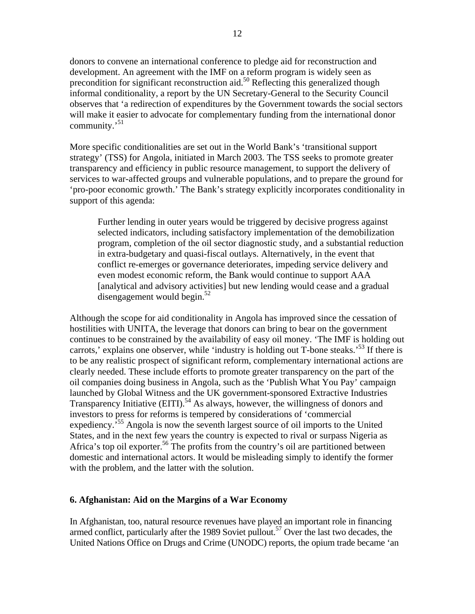donors to convene an international conference to pledge aid for reconstruction and development. An agreement with the IMF on a reform program is widely seen as precondition for significant reconstruction aid.[50](#page-27-49) Reflecting this generalized though informal conditionality, a report by the UN Secretary-General to the Security Council observes that 'a redirection of expenditures by the Government towards the social sectors will make it easier to advocate for complementary funding from the international donor community.'<sup>51</sup>

More specific conditionalities are set out in the World Bank's 'transitional support strategy' (TSS) for Angola, initiated in March 2003. The TSS seeks to promote greater transparency and efficiency in public resource management, to support the delivery of services to war-affected groups and vulnerable populations, and to prepare the ground for 'pro-poor economic growth.' The Bank's strategy explicitly incorporates conditionality in support of this agenda:

Further lending in outer years would be triggered by decisive progress against selected indicators, including satisfactory implementation of the demobilization program, completion of the oil sector diagnostic study, and a substantial reduction in extra-budgetary and quasi-fiscal outlays. Alternatively, in the event that conflict re-emerges or governance deteriorates, impeding service delivery and even modest economic reform, the Bank would continue to support AAA [analytical and advisory activities] but new lending would cease and a gradual disengagement would begin. $52$ 

Although the scope for aid conditionality in Angola has improved since the cessation of hostilities with UNITA, the leverage that donors can bring to bear on the government continues to be constrained by the availability of easy oil money. 'The IMF is holding out carrots,' explains one observer, while 'industry is holding out  $T$ -bone steaks.'<sup>53</sup> If there is to be any realistic prospect of significant reform, complementary international actions are clearly needed. These include efforts to promote greater transparency on the part of the oil companies doing business in Angola, such as the 'Publish What You Pay' campaign launched by Global Witness and the UK government-sponsored Extractive Industries Transparency Initiative (EITI).<sup>54</sup> As always, however, the willingness of donors and investors to press for reforms is tempered by considerations of 'commercial expediency.<sup>55</sup> Angola is now the seventh largest source of oil imports to the United States, and in the next few years the country is expected to rival or surpass Nigeria as Africa's top oil exporter.<sup>56</sup> The profits from the country's oil are partitioned between domestic and international actors. It would be misleading simply to identify the former with the problem, and the latter with the solution.

#### **6. Afghanistan: Aid on the Margins of a War Economy**

In Afghanistan, too, natural resource revenues have played an important role in financing armed conflict, particularly after the 1989 Soviet pullout.<sup>57</sup> Over the last two decades, the United Nations Office on Drugs and Crime (UNODC) reports, the opium trade became 'an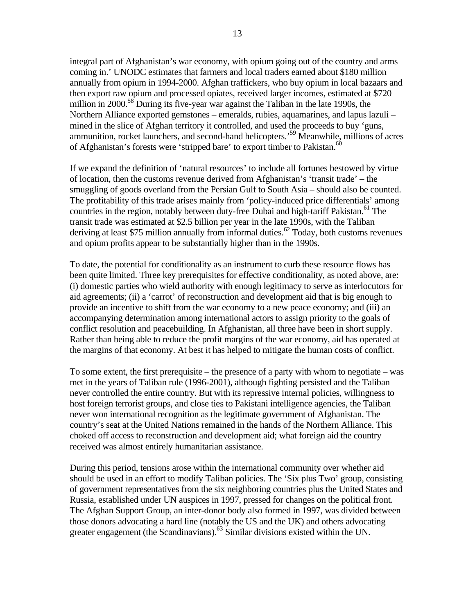integral part of Afghanistan's war economy, with opium going out of the country and arms coming in.' UNODC estimates that farmers and local traders earned about \$180 million annually from opium in 1994-2000. Afghan traffickers, who buy opium in local bazaars and then export raw opium and processed opiates, received larger incomes, estimated at \$720 million in 2000.<sup>58</sup> During its five-year war against the Taliban in the late 1990s, the Northern Alliance exported gemstones – emeralds, rubies, aquamarines, and lapus lazuli – mined in the slice of Afghan territory it controlled, and used the proceeds to buy 'guns, ammunition, rocket launchers, and second-hand helicopters.<sup>59</sup> Meanwhile, millions of acres of Afghanistan's forests were 'stripped bare' to export timber to Pakistan.<sup>[60](#page-27-59)</sup>

If we expand the definition of 'natural resources' to include all fortunes bestowed by virtue of location, then the customs revenue derived from Afghanistan's 'transit trade' – the smuggling of goods overland from the Persian Gulf to South Asia – should also be counted. The profitability of this trade arises mainly from 'policy-induced price differentials' among countries in the region, notably between duty-free Dubai and high-tariff Pakistan.<sup>61</sup> The transit trade was estimated at \$2.5 billion per year in the late 1990s, with the Taliban deriving at least \$75 million annually from informal duties.<sup>62</sup> Today, both customs revenues and opium profits appear to be substantially higher than in the 1990s.

To date, the potential for conditionality as an instrument to curb these resource flows has been quite limited. Three key prerequisites for effective conditionality, as noted above, are: (i) domestic parties who wield authority with enough legitimacy to serve as interlocutors for aid agreements; (ii) a 'carrot' of reconstruction and development aid that is big enough to provide an incentive to shift from the war economy to a new peace economy; and (iii) an accompanying determination among international actors to assign priority to the goals of conflict resolution and peacebuilding. In Afghanistan, all three have been in short supply. Rather than being able to reduce the profit margins of the war economy, aid has operated at the margins of that economy. At best it has helped to mitigate the human costs of conflict.

To some extent, the first prerequisite – the presence of a party with whom to negotiate – was met in the years of Taliban rule (1996-2001), although fighting persisted and the Taliban never controlled the entire country. But with its repressive internal policies, willingness to host foreign terrorist groups, and close ties to Pakistani intelligence agencies, the Taliban never won international recognition as the legitimate government of Afghanistan. The country's seat at the United Nations remained in the hands of the Northern Alliance. This choked off access to reconstruction and development aid; what foreign aid the country received was almost entirely humanitarian assistance.

During this period, tensions arose within the international community over whether aid should be used in an effort to modify Taliban policies. The 'Six plus Two' group, consisting of government representatives from the six neighboring countries plus the United States and Russia, established under UN auspices in 1997, pressed for changes on the political front. The Afghan Support Group, an inter-donor body also formed in 1997, was divided between those donors advocating a hard line (notably the US and the UK) and others advocating greater engagement (the Scandinavians).<sup>63</sup> Similar divisions existed within the UN.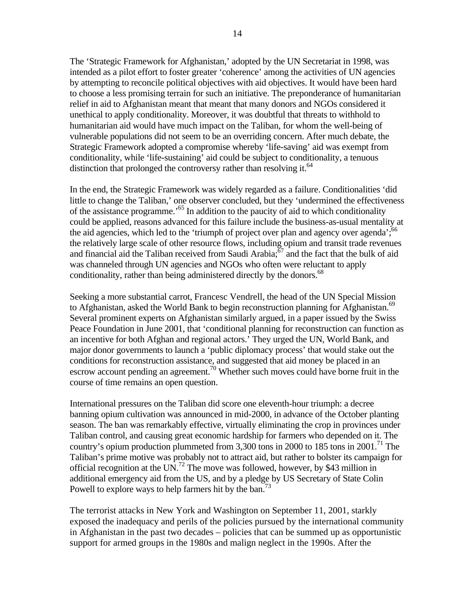The 'Strategic Framework for Afghanistan,' adopted by the UN Secretariat in 1998, was intended as a pilot effort to foster greater 'coherence' among the activities of UN agencies by attempting to reconcile political objectives with aid objectives. It would have been hard to choose a less promising terrain for such an initiative. The preponderance of humanitarian relief in aid to Afghanistan meant that meant that many donors and NGOs considered it unethical to apply conditionality. Moreover, it was doubtful that threats to withhold to humanitarian aid would have much impact on the Taliban, for whom the well-being of vulnerable populations did not seem to be an overriding concern. After much debate, the Strategic Framework adopted a compromise whereby 'life-saving' aid was exempt from conditionality, while 'life-sustaining' aid could be subject to conditionality, a tenuous distinction that prolonged the controversy rather than resolving it.<sup>[64](#page-27-61)</sup>

In the end, the Strategic Framework was widely regarded as a failure. Conditionalities 'did little to change the Taliban,' one observer concluded, but they 'undermined the effectiveness of the assistance programme.'[65 I](#page-27-62)n addition to the paucity of aid to which conditionality could be applied, reasons advanced for this failure include the business-as-usual mentality at the aid agencies, which led to the 'triumph of project over plan and agency over agenda'; $66$ the relatively large scale of other resource flows, including opium and transit trade revenues and financial aid the Taliban received from Saudi Arabia;  $67$  and the fact that the bulk of aid was channeled through UN agencies and NGOs who often were reluctant to apply conditionality, rather than being administered directly by the donors.<sup>[68](#page-27-65)</sup>

Seeking a more substantial carrot, Francesc Vendrell, the head of the UN Special Mission to Afghanistan, asked the World Bank to begin reconstruction planning for Afghanistan.<sup>[69](#page-27-66)</sup> Several prominent experts on Afghanistan similarly argued, in a paper issued by the Swiss Peace Foundation in June 2001, that 'conditional planning for reconstruction can function as an incentive for both Afghan and regional actors.' They urged the UN, World Bank, and major donor governments to launch a 'public diplomacy process' that would stake out the conditions for reconstruction assistance, and suggested that aid money be placed in an escrow account pending an agreement.<sup>70</sup> Whether such moves could have borne fruit in the course of time remains an open question.

International pressures on the Taliban did score one eleventh-hour triumph: a decree banning opium cultivation was announced in mid-2000, in advance of the October planting season. The ban was remarkably effective, virtually eliminating the crop in provinces under Taliban control, and causing great economic hardship for farmers who depended on it. The country's opium production plummeted from 3,300 tons in 2000 to 185 tons in 2001.<sup>71</sup> The Taliban's prime motive was probably not to attract aid, but rather to bolster its campaign for official recognition at the UN.<sup>72</sup> The move was followed, however, by \$43 million in additional emergency aid from the US, and by a pledge by US Secretary of State Colin Powell to explore ways to help farmers hit by the ban.<sup>[73](#page-27-69)</sup>

The terrorist attacks in New York and Washington on September 11, 2001, starkly exposed the inadequacy and perils of the policies pursued by the international community in Afghanistan in the past two decades – policies that can be summed up as opportunistic support for armed groups in the 1980s and malign neglect in the 1990s. After the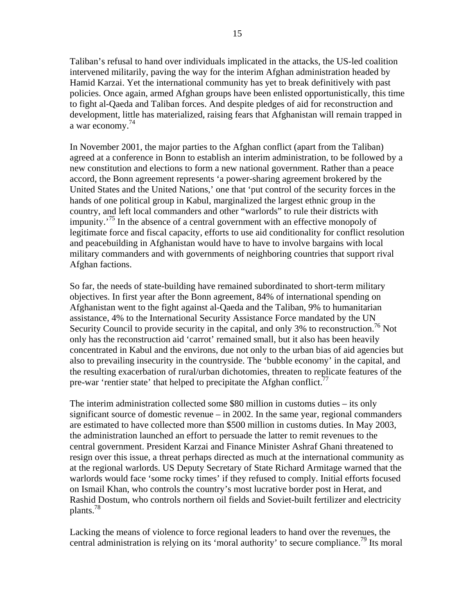Taliban's refusal to hand over individuals implicated in the attacks, the US-led coalition intervened militarily, paving the way for the interim Afghan administration headed by Hamid Karzai. Yet the international community has yet to break definitively with past policies. Once again, armed Afghan groups have been enlisted opportunistically, this time to fight al-Qaeda and Taliban forces. And despite pledges of aid for reconstruction and development, little has materialized, raising fears that Afghanistan will remain trapped in a war economy.[74](#page-27-70)

In November 2001, the major parties to the Afghan conflict (apart from the Taliban) agreed at a conference in Bonn to establish an interim administration, to be followed by a new constitution and elections to form a new national government. Rather than a peace accord, the Bonn agreement represents 'a power-sharing agreement brokered by the United States and the United Nations,' one that 'put control of the security forces in the hands of one political group in Kabul, marginalized the largest ethnic group in the country, and left local commanders and other "warlords" to rule their districts with impunity.'[75](#page-27-71) In the absence of a central government with an effective monopoly of legitimate force and fiscal capacity, efforts to use aid conditionality for conflict resolution and peacebuilding in Afghanistan would have to have to involve bargains with local military commanders and with governments of neighboring countries that support rival Afghan factions.

So far, the needs of state-building have remained subordinated to short-term military objectives. In first year after the Bonn agreement, 84% of international spending on Afghanistan went to the fight against al-Qaeda and the Taliban, 9% to humanitarian assistance, 4% to the International Security Assistance Force mandated by the UN Security Council to provide security in the capital, and only 3% to reconstruction.<sup>76</sup> Not only has the reconstruction aid 'carrot' remained small, but it also has been heavily concentrated in Kabul and the environs, due not only to the urban bias of aid agencies but also to prevailing insecurity in the countryside. The 'bubble economy' in the capital, and the resulting exacerbation of rural/urban dichotomies, threaten to replicate features of the pre-war 'rentier state' that helped to precipitate the Afghan conflict.<sup>[77](#page-27-73)</sup>

The interim administration collected some \$80 million in customs duties – its only significant source of domestic revenue – in 2002. In the same year, regional commanders are estimated to have collected more than \$500 million in customs duties. In May 2003, the administration launched an effort to persuade the latter to remit revenues to the central government. President Karzai and Finance Minister Ashraf Ghani threatened to resign over this issue, a threat perhaps directed as much at the international community as at the regional warlords. US Deputy Secretary of State Richard Armitage warned that the warlords would face 'some rocky times' if they refused to comply. Initial efforts focused on Ismail Khan, who controls the country's most lucrative border post in Herat, and Rashid Dostum, who controls northern oil fields and Soviet-built fertilizer and electricity plants.<sup>[78](#page-27-74)</sup>

Lacking the means of violence to force regional leaders to hand over the revenues, the central administration is relying on its 'moral authority' to secure compliance.<sup>79</sup> Its moral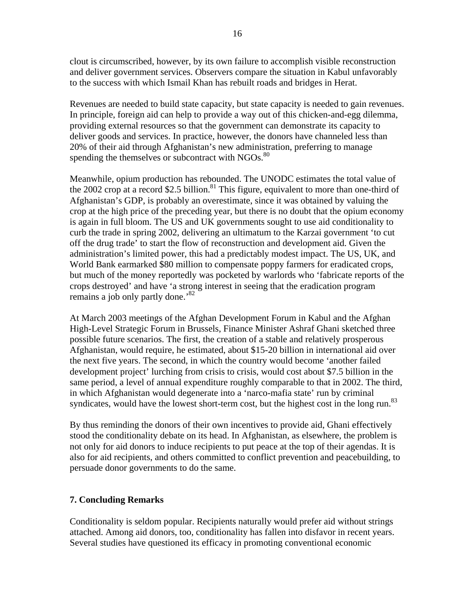clout is circumscribed, however, by its own failure to accomplish visible reconstruction and deliver government services. Observers compare the situation in Kabul unfavorably to the success with which Ismail Khan has rebuilt roads and bridges in Herat.

Revenues are needed to build state capacity, but state capacity is needed to gain revenues. In principle, foreign aid can help to provide a way out of this chicken-and-egg dilemma, providing external resources so that the government can demonstrate its capacity to deliver goods and services. In practice, however, the donors have channeled less than 20% of their aid through Afghanistan's new administration, preferring to manage spending the themselves or subcontract with  $NGOs.<sup>80</sup>$  $NGOs.<sup>80</sup>$  $NGOs.<sup>80</sup>$ 

Meanwhile, opium production has rebounded. The UNODC estimates the total value of the 2002 crop at a record \$2.5 billion.<sup>81</sup> This figure, equivalent to more than one-third of Afghanistan's GDP, is probably an overestimate, since it was obtained by valuing the crop at the high price of the preceding year, but there is no doubt that the opium economy is again in full bloom. The US and UK governments sought to use aid conditionality to curb the trade in spring 2002, delivering an ultimatum to the Karzai government 'to cut off the drug trade' to start the flow of reconstruction and development aid. Given the administration's limited power, this had a predictably modest impact. The US, UK, and World Bank earmarked \$80 million to compensate poppy farmers for eradicated crops, but much of the money reportedly was pocketed by warlords who 'fabricate reports of the crops destroyed' and have 'a strong interest in seeing that the eradication program remains a job only partly done.<sup>[82](#page-27-61)</sup>

At March 2003 meetings of the Afghan Development Forum in Kabul and the Afghan High-Level Strategic Forum in Brussels, Finance Minister Ashraf Ghani sketched three possible future scenarios. The first, the creation of a stable and relatively prosperous Afghanistan, would require, he estimated, about \$15-20 billion in international aid over the next five years. The second, in which the country would become 'another failed development project' lurching from crisis to crisis, would cost about \$7.5 billion in the same period, a level of annual expenditure roughly comparable to that in 2002. The third, in which Afghanistan would degenerate into a 'narco-mafia state' run by criminal syndicates, would have the lowest short-term cost, but the highest cost in the long run.<sup>83</sup>

By thus reminding the donors of their own incentives to provide aid, Ghani effectively stood the conditionality debate on its head. In Afghanistan, as elsewhere, the problem is not only for aid donors to induce recipients to put peace at the top of their agendas. It is also for aid recipients, and others committed to conflict prevention and peacebuilding, to persuade donor governments to do the same.

#### **7. Concluding Remarks**

Conditionality is seldom popular. Recipients naturally would prefer aid without strings attached. Among aid donors, too, conditionality has fallen into disfavor in recent years. Several studies have questioned its efficacy in promoting conventional economic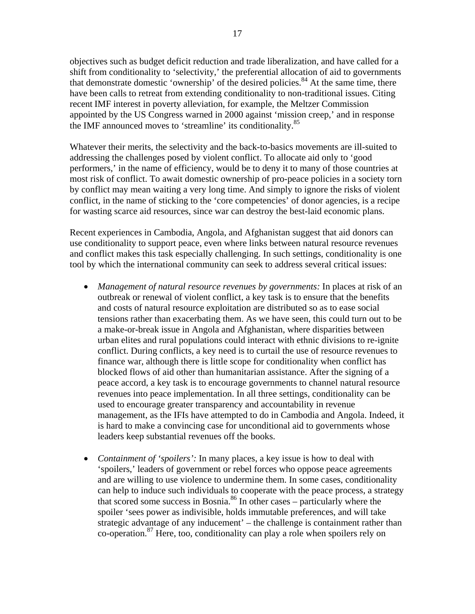objectives such as budget deficit reduction and trade liberalization, and have called for a shift from conditionality to 'selectivity,' the preferential allocation of aid to governments that demonstrate domestic 'ownership' of the desired policies. $84$  At the same time, there have been calls to retreat from extending conditionality to non-traditional issues. Citing recent IMF interest in poverty alleviation, for example, the Meltzer Commission appointed by the US Congress warned in 2000 against 'mission creep,' and in response the IMF announced moves to 'streamline' its conditionality.<sup>85</sup>

Whatever their merits, the selectivity and the back-to-basics movements are ill-suited to addressing the challenges posed by violent conflict. To allocate aid only to 'good performers,' in the name of efficiency, would be to deny it to many of those countries at most risk of conflict. To await domestic ownership of pro-peace policies in a society torn by conflict may mean waiting a very long time. And simply to ignore the risks of violent conflict, in the name of sticking to the 'core competencies' of donor agencies, is a recipe for wasting scarce aid resources, since war can destroy the best-laid economic plans.

Recent experiences in Cambodia, Angola, and Afghanistan suggest that aid donors can use conditionality to support peace, even where links between natural resource revenues and conflict makes this task especially challenging. In such settings, conditionality is one tool by which the international community can seek to address several critical issues:

- *Management of natural resource revenues by governments:* In places at risk of an outbreak or renewal of violent conflict, a key task is to ensure that the benefits and costs of natural resource exploitation are distributed so as to ease social tensions rather than exacerbating them. As we have seen, this could turn out to be a make-or-break issue in Angola and Afghanistan, where disparities between urban elites and rural populations could interact with ethnic divisions to re-ignite conflict. During conflicts, a key need is to curtail the use of resource revenues to finance war, although there is little scope for conditionality when conflict has blocked flows of aid other than humanitarian assistance. After the signing of a peace accord, a key task is to encourage governments to channel natural resource revenues into peace implementation. In all three settings, conditionality can be used to encourage greater transparency and accountability in revenue management, as the IFIs have attempted to do in Cambodia and Angola. Indeed, it is hard to make a convincing case for unconditional aid to governments whose leaders keep substantial revenues off the books.
- *Containment of 'spoilers':* In many places, a key issue is how to deal with 'spoilers,' leaders of government or rebel forces who oppose peace agreements and are willing to use violence to undermine them. In some cases, conditionality can help to induce such individuals to cooperate with the peace process, a strategy that scored some success in Bosnia.<sup>86</sup> In other cases – particularly where the spoiler 'sees power as indivisible, holds immutable preferences, and will take strategic advantage of any inducement' – the challenge is containment rather than co-operation.<sup>87</sup> Here, too, conditionality can play a role when spoilers rely on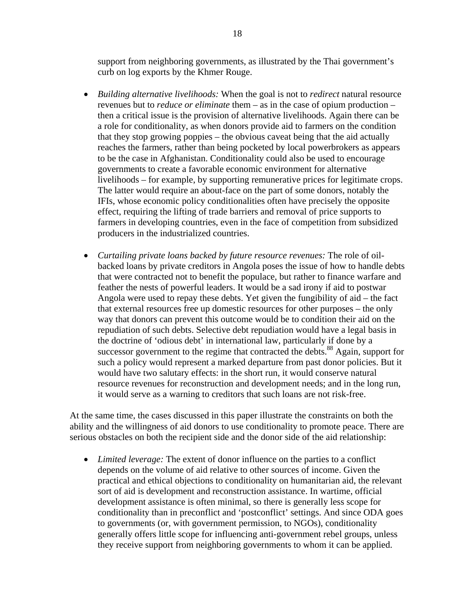support from neighboring governments, as illustrated by the Thai government's curb on log exports by the Khmer Rouge.

- *Building alternative livelihoods:* When the goal is not to *redirect* natural resource revenues but to *reduce or eliminate* them – as in the case of opium production – then a critical issue is the provision of alternative livelihoods. Again there can be a role for conditionality, as when donors provide aid to farmers on the condition that they stop growing poppies – the obvious caveat being that the aid actually reaches the farmers, rather than being pocketed by local powerbrokers as appears to be the case in Afghanistan. Conditionality could also be used to encourage governments to create a favorable economic environment for alternative livelihoods – for example, by supporting remunerative prices for legitimate crops. The latter would require an about-face on the part of some donors, notably the IFIs, whose economic policy conditionalities often have precisely the opposite effect, requiring the lifting of trade barriers and removal of price supports to farmers in developing countries, even in the face of competition from subsidized producers in the industrialized countries.
- *Curtailing private loans backed by future resource revenues:* The role of oilbacked loans by private creditors in Angola poses the issue of how to handle debts that were contracted not to benefit the populace, but rather to finance warfare and feather the nests of powerful leaders. It would be a sad irony if aid to postwar Angola were used to repay these debts. Yet given the fungibility of aid – the fact that external resources free up domestic resources for other purposes – the only way that donors can prevent this outcome would be to condition their aid on the repudiation of such debts. Selective debt repudiation would have a legal basis in the doctrine of 'odious debt' in international law, particularly if done by a successor government to the regime that contracted the debts.<sup>88</sup> Again, support for such a policy would represent a marked departure from past donor policies. But it would have two salutary effects: in the short run, it would conserve natural resource revenues for reconstruction and development needs; and in the long run, it would serve as a warning to creditors that such loans are not risk-free.

At the same time, the cases discussed in this paper illustrate the constraints on both the ability and the willingness of aid donors to use conditionality to promote peace. There are serious obstacles on both the recipient side and the donor side of the aid relationship:

• *Limited leverage:* The extent of donor influence on the parties to a conflict depends on the volume of aid relative to other sources of income. Given the practical and ethical objections to conditionality on humanitarian aid, the relevant sort of aid is development and reconstruction assistance. In wartime, official development assistance is often minimal, so there is generally less scope for conditionality than in preconflict and 'postconflict' settings. And since ODA goes to governments (or, with government permission, to NGOs), conditionality generally offers little scope for influencing anti-government rebel groups, unless they receive support from neighboring governments to whom it can be applied.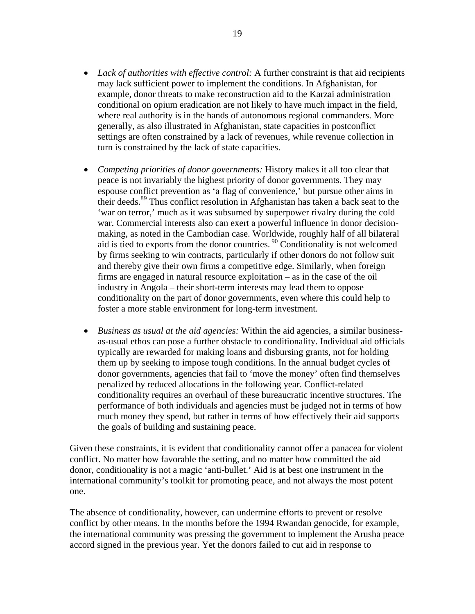- *Lack of authorities with effective control:* A further constraint is that aid recipients may lack sufficient power to implement the conditions. In Afghanistan, for example, donor threats to make reconstruction aid to the Karzai administration conditional on opium eradication are not likely to have much impact in the field, where real authority is in the hands of autonomous regional commanders. More generally, as also illustrated in Afghanistan, state capacities in postconflict settings are often constrained by a lack of revenues, while revenue collection in turn is constrained by the lack of state capacities.
- *Competing priorities of donor governments:* History makes it all too clear that peace is not invariably the highest priority of donor governments. They may espouse conflict prevention as 'a flag of convenience,' but pursue other aims in their deeds.<sup>89</sup> Thus conflict resolution in Afghanistan has taken a back seat to the 'war on terror,' much as it was subsumed by superpower rivalry during the cold war. Commercial interests also can exert a powerful influence in donor decisionmaking, as noted in the Cambodian case. Worldwide, roughly half of all bilateral aid is tied to exports from the donor countries.  $90$  Conditionality is not welcomed by firms seeking to win contracts, particularly if other donors do not follow suit and thereby give their own firms a competitive edge. Similarly, when foreign firms are engaged in natural resource exploitation – as in the case of the oil industry in Angola – their short-term interests may lead them to oppose conditionality on the part of donor governments, even where this could help to foster a more stable environment for long-term investment.
- *Business as usual at the aid agencies:* Within the aid agencies, a similar businessas-usual ethos can pose a further obstacle to conditionality. Individual aid officials typically are rewarded for making loans and disbursing grants, not for holding them up by seeking to impose tough conditions. In the annual budget cycles of donor governments, agencies that fail to 'move the money' often find themselves penalized by reduced allocations in the following year. Conflict-related conditionality requires an overhaul of these bureaucratic incentive structures. The performance of both individuals and agencies must be judged not in terms of how much money they spend, but rather in terms of how effectively their aid supports the goals of building and sustaining peace.

Given these constraints, it is evident that conditionality cannot offer a panacea for violent conflict. No matter how favorable the setting, and no matter how committed the aid donor, conditionality is not a magic 'anti-bullet.' Aid is at best one instrument in the international community's toolkit for promoting peace, and not always the most potent one.

The absence of conditionality, however, can undermine efforts to prevent or resolve conflict by other means. In the months before the 1994 Rwandan genocide, for example, the international community was pressing the government to implement the Arusha peace accord signed in the previous year. Yet the donors failed to cut aid in response to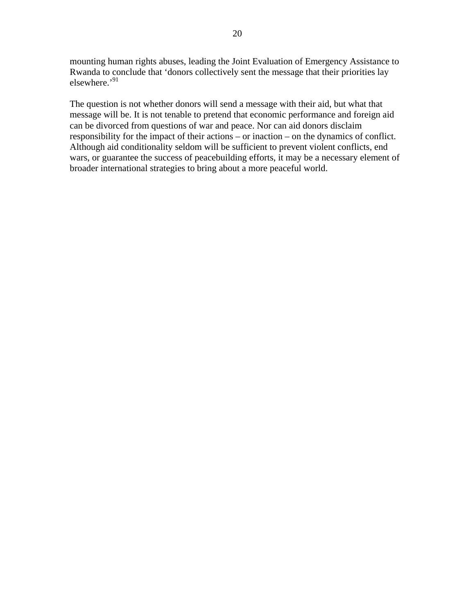mounting human rights abuses, leading the Joint Evaluation of Emergency Assistance to Rwanda to conclude that 'donors collectively sent the message that their priorities lay elsewhere.'<sup>[91](#page-27-83)</sup>

The question is not whether donors will send a message with their aid, but what that message will be. It is not tenable to pretend that economic performance and foreign aid can be divorced from questions of war and peace. Nor can aid donors disclaim responsibility for the impact of their actions – or inaction – on the dynamics of conflict. Although aid conditionality seldom will be sufficient to prevent violent conflicts, end wars, or guarantee the success of peacebuilding efforts, it may be a necessary element of broader international strategies to bring about a more peaceful world.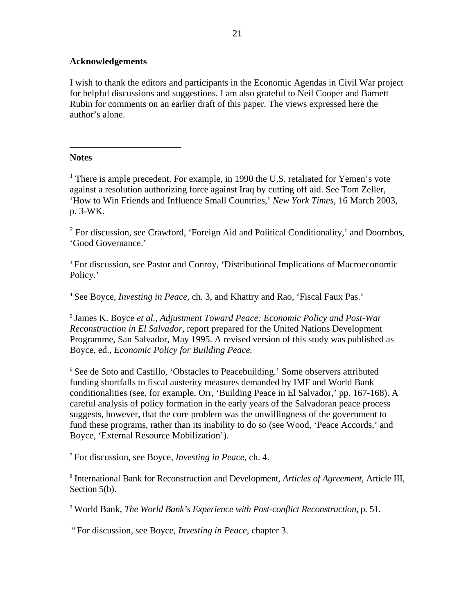#### **Acknowledgements**

I wish to thank the editors and participants in the Economic Agendas in Civil War project for helpful discussions and suggestions. I am also grateful to Neil Cooper and Barnett Rubin for comments on an earlier draft of this paper. The views expressed here the author's alone.

#### **Notes**

 $\overline{a}$ 

<sup>1</sup> There is ample precedent. For example, in 1990 the U.S. retaliated for Yemen's vote against a resolution authorizing force against Iraq by cutting off aid. See Tom Zeller, 'How to Win Friends and Influence Small Countries,' *New York Times,* 16 March 2003, p. 3-WK.

 $2^2$  For discussion, see Crawford, 'Foreign Aid and Political Conditionality,' and Doornbos, 'Good Governance.'

<sup>3</sup> For discussion, see Pastor and Conroy, 'Distributional Implications of Macroeconomic Policy.'

<sup>4</sup> See Boyce, *Investing in Peace,* ch. 3, and Khattry and Rao, 'Fiscal Faux Pas.'

<sup>5</sup> James K. Boyce *et al.*, *Adjustment Toward Peace: Economic Policy and Post-War Reconstruction in El Salvador,* report prepared for the United Nations Development Programme, San Salvador, May 1995. A revised version of this study was published as Boyce, ed., *Economic Policy for Building Peace.*

<sup>6</sup> See de Soto and Castillo, 'Obstacles to Peacebuilding.' Some observers attributed funding shortfalls to fiscal austerity measures demanded by IMF and World Bank conditionalities (see, for example, Orr, 'Building Peace in El Salvador,' pp. 167-168). A careful analysis of policy formation in the early years of the Salvadoran peace process suggests, however, that the core problem was the unwillingness of the government to fund these programs, rather than its inability to do so (see Wood, 'Peace Accords,' and Boyce, 'External Resource Mobilization').

<sup>7</sup> For discussion, see Boyce, *Investing in Peace,* ch. 4.

<sup>8</sup> International Bank for Reconstruction and Development, *Articles of Agreement*, Article III, Section 5(b).

<sup>9</sup> World Bank, *The World Bank's Experience with Post-conflict Reconstruction,* p. 51.

<sup>10</sup> For discussion, see Boyce, *Investing in Peace,* chapter 3.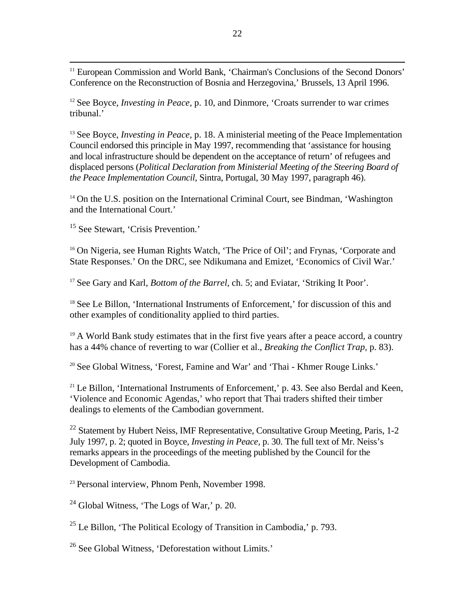<sup>11</sup> European Commission and World Bank, 'Chairman's Conclusions of the Second Donors' Conference on the Reconstruction of Bosnia and Herzegovina,' Brussels, 13 April 1996.

<sup>12</sup> See Boyce, *Investing in Peace*, p. 10, and Dinmore, 'Croats surrender to war crimes tribunal.'

<sup>13</sup> See Boyce, *Investing in Peace*, p. 18. A ministerial meeting of the Peace Implementation Council endorsed this principle in May 1997, recommending that 'assistance for housing and local infrastructure should be dependent on the acceptance of return' of refugees and displaced persons (*Political Declaration from Ministerial Meeting of the Steering Board of the Peace Implementation Council*, Sintra, Portugal, 30 May 1997, paragraph 46).

<sup>14</sup> On the U.S. position on the International Criminal Court, see Bindman, 'Washington' and the International Court.'

<sup>15</sup> See Stewart, 'Crisis Prevention.'

<sup>16</sup> On Nigeria, see Human Rights Watch, 'The Price of Oil'; and Frynas, 'Corporate and State Responses.' On the DRC, see Ndikumana and Emizet, 'Economics of Civil War.'

<sup>17</sup> See Gary and Karl, *Bottom of the Barrel*, ch. 5; and Eviatar, 'Striking It Poor'.

<sup>18</sup> See Le Billon, 'International Instruments of Enforcement,' for discussion of this and other examples of conditionality applied to third parties.

<sup>19</sup> A World Bank study estimates that in the first five years after a peace accord, a country has a 44% chance of reverting to war (Collier et al., *Breaking the Conflict Trap,* p. 83).

<sup>20</sup> See Global Witness, 'Forest, Famine and War' and 'Thai - Khmer Rouge Links.'

<sup>21</sup> Le Billon, 'International Instruments of Enforcement,' p. 43. See also Berdal and Keen, 'Violence and Economic Agendas,' who report that Thai traders shifted their timber dealings to elements of the Cambodian government.

 $22$  Statement by Hubert Neiss, IMF Representative, Consultative Group Meeting, Paris, 1-2 July 1997, p. 2; quoted in Boyce, *Investing in Peace,* p. 30. The full text of Mr. Neiss's remarks appears in the proceedings of the meeting published by the Council for the Development of Cambodia.

<sup>23</sup> Personal interview, Phnom Penh, November 1998.

 $24$  Global Witness, 'The Logs of War,' p. 20.

25 Le Billon, 'The Political Ecology of Transition in Cambodia,' p. 793.

26 See Global Witness, 'Deforestation without Limits.'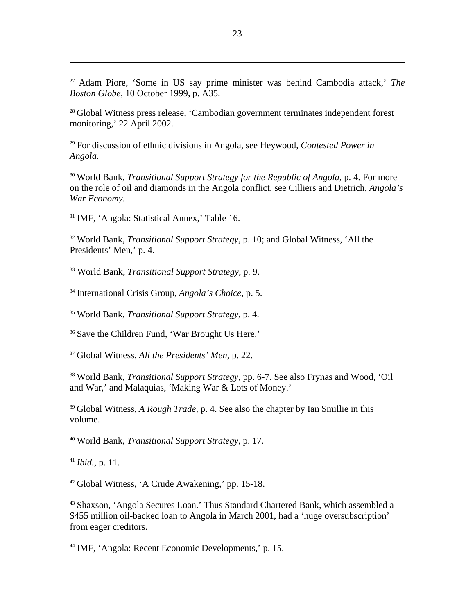<sup>27</sup> Adam Piore, 'Some in US say prime minister was behind Cambodia attack,' *The Boston Globe*, 10 October 1999, p. A35.

<sup>28</sup> Global Witness press release, 'Cambodian government terminates independent forest monitoring,' 22 April 2002.

<sup>29</sup> For discussion of ethnic divisions in Angola, see Heywood, *Contested Power in Angola.* 

<sup>30</sup> World Bank, *Transitional Support Strategy for the Republic of Angola*, p. 4. For more on the role of oil and diamonds in the Angola conflict, see Cilliers and Dietrich, *Angola's War Economy.*

<sup>31</sup> IMF, 'Angola: Statistical Annex,' Table 16.

<sup>32</sup> World Bank, *Transitional Support Strategy,* p. 10; and Global Witness, 'All the Presidents' Men,' p. 4.

<sup>33</sup> World Bank, *Transitional Support Strategy,* p. 9.

<sup>34</sup> International Crisis Group, *Angola's Choice,* p. 5.

<sup>35</sup> World Bank, *Transitional Support Strategy,* p. 4.

<sup>36</sup> Save the Children Fund, 'War Brought Us Here.'

<sup>37</sup> Global Witness, *All the Presidents' Men,* p. 22.

<sup>38</sup> World Bank, *Transitional Support Strategy,* pp. 6-7. See also Frynas and Wood, 'Oil and War,' and Malaquias, 'Making War & Lots of Money.'

<sup>39</sup> Global Witness, *A Rough Trade,* p. 4. See also the chapter by Ian Smillie in this volume.

<sup>40</sup> World Bank, *Transitional Support Strategy,* p. 17.

<sup>41</sup> *Ibid.,* p. 11.

 $\overline{a}$ 

<sup>42</sup> Global Witness, 'A Crude Awakening,' pp. 15-18.

<sup>43</sup> Shaxson, 'Angola Secures Loan.' Thus Standard Chartered Bank, which assembled a \$455 million oil-backed loan to Angola in March 2001, had a 'huge oversubscription' from eager creditors.

<sup>44</sup> IMF, 'Angola: Recent Economic Developments,' p. 15.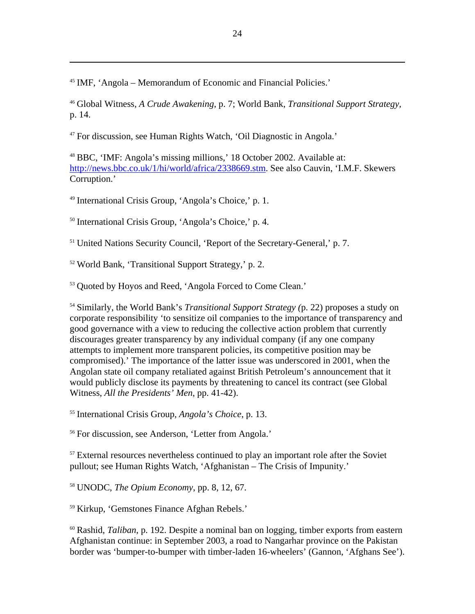<sup>45</sup> IMF, 'Angola – Memorandum of Economic and Financial Policies.'

<sup>46</sup> Global Witness, *A Crude Awakening*, p. 7; World Bank, *Transitional Support Strategy,*  p. 14.

<sup>47</sup> For discussion, see Human Rights Watch, 'Oil Diagnostic in Angola.'

<sup>48</sup> BBC, 'IMF: Angola's missing millions,' 18 October 2002. Available at: [http://news.bbc.co.uk/1/hi/world/africa/2338669.stm.](http://news.bbc.co.uk/1/hi/world/africa/2338669.stm) See also Cauvin, 'I.M.F. Skewers Corruption.'

<sup>49</sup> International Crisis Group, 'Angola's Choice,' p. 1.

 $\overline{a}$ 

<sup>50</sup> International Crisis Group, 'Angola's Choice,' p. 4.

<sup>51</sup> United Nations Security Council, 'Report of the Secretary-General,' p. 7.

<sup>52</sup> World Bank, 'Transitional Support Strategy,' p. 2.

<sup>53</sup> Quoted by Hoyos and Reed, 'Angola Forced to Come Clean.'

<sup>54</sup> Similarly, the World Bank's *Transitional Support Strategy (*p. 22) proposes a study on corporate responsibility 'to sensitize oil companies to the importance of transparency and good governance with a view to reducing the collective action problem that currently discourages greater transparency by any individual company (if any one company attempts to implement more transparent policies, its competitive position may be compromised).' The importance of the latter issue was underscored in 2001, when the Angolan state oil company retaliated against British Petroleum's announcement that it would publicly disclose its payments by threatening to cancel its contract (see Global Witness, *All the Presidents' Men*, pp. 41-42).

<sup>55</sup> International Crisis Group, *Angola's Choice*, p. 13.

<sup>56</sup> For discussion, see Anderson, 'Letter from Angola.'

 $57$  External resources nevertheless continued to play an important role after the Soviet pullout; see Human Rights Watch, 'Afghanistan – The Crisis of Impunity.'

<sup>58</sup> UNODC, *The Opium Economy*, pp. 8, 12, 67.

<sup>59</sup> Kirkup, 'Gemstones Finance Afghan Rebels.'

<sup>60</sup> Rashid, *Taliban*, p. 192. Despite a nominal ban on logging, timber exports from eastern Afghanistan continue: in September 2003, a road to Nangarhar province on the Pakistan border was 'bumper-to-bumper with timber-laden 16-wheelers' (Gannon, 'Afghans See').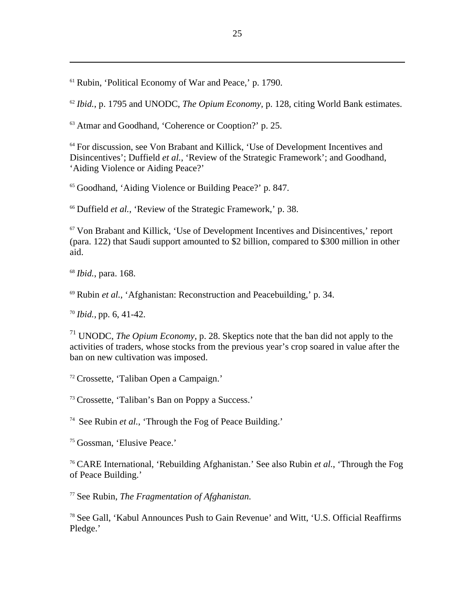<sup>61</sup> Rubin, 'Political Economy of War and Peace,' p. 1790.

 $62$  *Ibid.*, p. 1795 and UNODC, *The Opium Economy*, p. 128, citing World Bank estimates.

 $63$  Atmar and Goodhand, 'Coherence or Cooption?' p. 25.

 $64$  For discussion, see Von Brabant and Killick, 'Use of Development Incentives and Disincentives'; Duffield *et al.*, 'Review of the Strategic Framework'; and Goodhand, 'Aiding Violence or Aiding Peace?'

<sup>65</sup> Goodhand, 'Aiding Violence or Building Peace?' p. 847.

<sup>66</sup> Duffield *et al.*, 'Review of the Strategic Framework,' p. 38.

 $67$  Von Brabant and Killick, 'Use of Development Incentives and Disincentives,' report (para. 122) that Saudi support amounted to \$2 billion, compared to \$300 million in other aid.

<sup>68</sup> *Ibid.*, para. 168.

 $\overline{a}$ 

<sup>69</sup> Rubin *et al.*, 'Afghanistan: Reconstruction and Peacebuilding,' p. 34.

<sup>70</sup> *Ibid.,* pp. 6, 41-42.

71 UNODC, *The Opium Economy*, p. 28. Skeptics note that the ban did not apply to the activities of traders, whose stocks from the previous year's crop soared in value after the ban on new cultivation was imposed.

<sup>72</sup> Crossette, 'Taliban Open a Campaign.'

<sup>73</sup> Crossette, 'Taliban's Ban on Poppy a Success.'

74 See Rubin *et al.*, 'Through the Fog of Peace Building.'

<sup>75</sup> Gossman, 'Elusive Peace.'

<sup>76</sup> CARE International, 'Rebuilding Afghanistan.' See also Rubin *et al.*, 'Through the Fog of Peace Building.'

<sup>77</sup> See Rubin, *The Fragmentation of Afghanistan.* 

<sup>78</sup> See Gall, 'Kabul Announces Push to Gain Revenue' and Witt, 'U.S. Official Reaffirms Pledge.'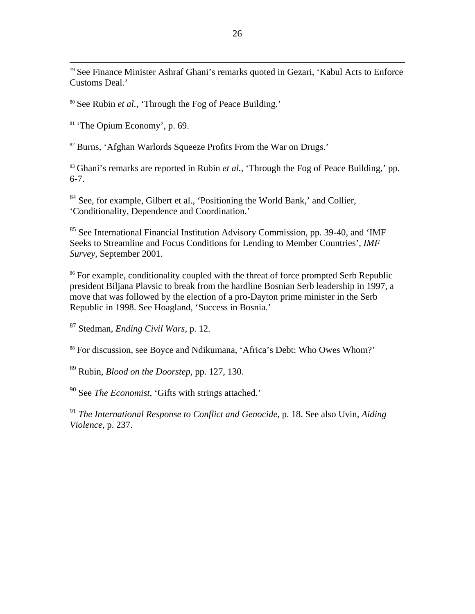<span id="page-27-44"></span><span id="page-27-26"></span><span id="page-27-10"></span> 79 See Finance Minister Ashraf Ghani's remarks quoted in Gezari, 'Kabul Acts to Enforce Customs Deal.'

<span id="page-27-45"></span><span id="page-27-27"></span><span id="page-27-11"></span><sup>80</sup> See Rubin *et al.*, 'Through the Fog of Peace Building.'

<span id="page-27-60"></span><span id="page-27-12"></span><sup>81</sup> 'The Opium Economy', p. 69.

<span id="page-27-61"></span><span id="page-27-46"></span><span id="page-27-28"></span><sup>82</sup> Burns, 'Afghan Warlords Squeeze Profits From the War on Drugs.'

<span id="page-27-75"></span><span id="page-27-47"></span><span id="page-27-29"></span><span id="page-27-0"></span> $83$  Ghani's remarks are reported in Rubin *et al.*, 'Through the Fog of Peace Building,' pp. 6-7.

<span id="page-27-76"></span><span id="page-27-63"></span><span id="page-27-62"></span><span id="page-27-48"></span><span id="page-27-13"></span>84 See, for example, Gilbert et al., 'Positioning the World Bank,' and Collier, 'Conditionality, Dependence and Coordination.'

<span id="page-27-77"></span><span id="page-27-64"></span><span id="page-27-50"></span><span id="page-27-49"></span><span id="page-27-31"></span><span id="page-27-30"></span><span id="page-27-15"></span><span id="page-27-14"></span><span id="page-27-1"></span>85 See International Financial Institution Advisory Commission, pp. 39-40, and 'IMF Seeks to Streamline and Focus Conditions for Lending to Member Countries', *IMF Survey,* September 2001.

<span id="page-27-78"></span><span id="page-27-66"></span><span id="page-27-65"></span><span id="page-27-52"></span><span id="page-27-51"></span><span id="page-27-33"></span><span id="page-27-32"></span><span id="page-27-16"></span><span id="page-27-3"></span><span id="page-27-2"></span><sup>86</sup> For example, conditionality coupled with the threat of force prompted Serb Republic president Biljana Plavsic to break from the hardline Bosnian Serb leadership in 1997, a move that was followed by the election of a pro-Dayton prime minister in the Serb Republic in 1998. See Hoagland, 'Success in Bosnia.'

<span id="page-27-79"></span><span id="page-27-67"></span><span id="page-27-53"></span><span id="page-27-35"></span><span id="page-27-34"></span><span id="page-27-18"></span><span id="page-27-17"></span><span id="page-27-4"></span>87 Stedman, *Ending Civil Wars,* p. 12.

<span id="page-27-80"></span><span id="page-27-36"></span><sup>88</sup> For discussion, see Boyce and Ndikumana, 'Africa's Debt: Who Owes Whom?'

<span id="page-27-81"></span><span id="page-27-68"></span><span id="page-27-37"></span><span id="page-27-19"></span><span id="page-27-5"></span>89 Rubin, *Blood on the Doorstep,* pp. 127, 130.

<span id="page-27-82"></span><span id="page-27-69"></span><span id="page-27-20"></span>90 See *The Economist*, 'Gifts with strings attached.'

<span id="page-27-83"></span><span id="page-27-74"></span><span id="page-27-73"></span><span id="page-27-72"></span><span id="page-27-71"></span><span id="page-27-70"></span><span id="page-27-59"></span><span id="page-27-58"></span><span id="page-27-57"></span><span id="page-27-56"></span><span id="page-27-55"></span><span id="page-27-54"></span><span id="page-27-43"></span><span id="page-27-42"></span><span id="page-27-41"></span><span id="page-27-40"></span><span id="page-27-39"></span><span id="page-27-38"></span><span id="page-27-25"></span><span id="page-27-24"></span><span id="page-27-23"></span><span id="page-27-22"></span><span id="page-27-21"></span><span id="page-27-9"></span><span id="page-27-8"></span><span id="page-27-7"></span><span id="page-27-6"></span><sup>91</sup> *The International Response to Conflict and Genocide,* p. 18. See also Uvin, *Aiding Violence,* p. 237.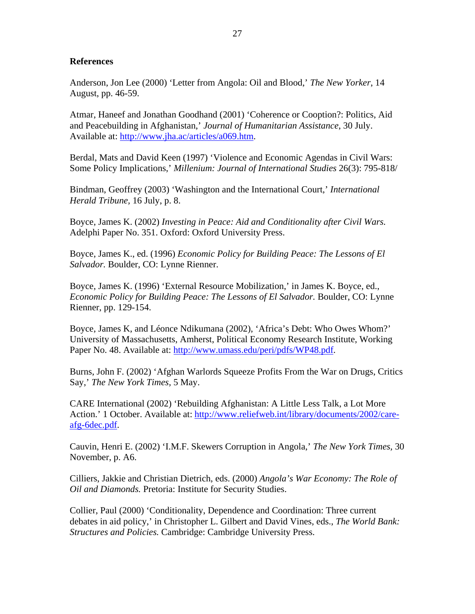#### **References**

Anderson, Jon Lee (2000) 'Letter from Angola: Oil and Blood,' *The New Yorker*, 14 August, pp. 46-59.

Atmar, Haneef and Jonathan Goodhand (2001) 'Coherence or Cooption?: Politics, Aid and Peacebuilding in Afghanistan,' *Journal of Humanitarian Assistance*, 30 July. Available at: [http://www.jha.ac/articles/a069.htm.](http://www.jha.ac/articles/a069.htm)

Berdal, Mats and David Keen (1997) 'Violence and Economic Agendas in Civil Wars: Some Policy Implications,' *Millenium: Journal of International Studies* 26(3): 795-818/

Bindman, Geoffrey (2003) 'Washington and the International Court,' *International Herald Tribune,* 16 July, p. 8.

Boyce, James K. (2002) *Investing in Peace: Aid and Conditionality after Civil Wars.* Adelphi Paper No. 351. Oxford: Oxford University Press.

Boyce, James K., ed. (1996) *Economic Policy for Building Peace: The Lessons of El Salvador.* Boulder, CO: Lynne Rienner.

Boyce, James K. (1996) 'External Resource Mobilization,' in James K. Boyce, ed., *Economic Policy for Building Peace: The Lessons of El Salvador.* Boulder, CO: Lynne Rienner, pp. 129-154.

Boyce, James K, and Léonce Ndikumana (2002), 'Africa's Debt: Who Owes Whom?' University of Massachusetts, Amherst, Political Economy Research Institute, Working Paper No. 48. Available at: [http://www.umass.edu/peri/pdfs/WP48.pdf.](http://www.umass.edu/peri/pdfs/WP48.pdf)

Burns, John F. (2002) 'Afghan Warlords Squeeze Profits From the War on Drugs, Critics Say,' *The New York Times,* 5 May.

CARE International (2002) 'Rebuilding Afghanistan: A Little Less Talk, a Lot More Action.' 1 October. Available at: [http://www.reliefweb.int/library/documents/2002/care](http://www.reliefweb.int/library/documents/2002/care-afg-6dec.pdf)[afg-6dec.pdf.](http://www.reliefweb.int/library/documents/2002/care-afg-6dec.pdf)

Cauvin, Henri E. (2002) 'I.M.F. Skewers Corruption in Angola,' *The New York Times,* 30 November, p. A6.

Cilliers, Jakkie and Christian Dietrich, eds. (2000) *Angola's War Economy: The Role of Oil and Diamonds.* Pretoria: Institute for Security Studies.

Collier, Paul (2000) 'Conditionality, Dependence and Coordination: Three current debates in aid policy,' in Christopher L. Gilbert and David Vines, eds., *The World Bank: Structures and Policies.* Cambridge: Cambridge University Press.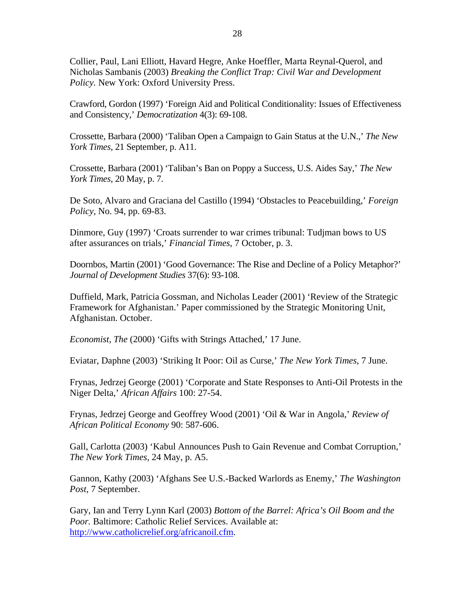Collier, Paul, Lani Elliott, Havard Hegre, Anke Hoeffler, Marta Reynal-Querol, and Nicholas Sambanis (2003) *Breaking the Conflict Trap: Civil War and Development Policy.* New York: Oxford University Press.

Crawford, Gordon (1997) 'Foreign Aid and Political Conditionality: Issues of Effectiveness and Consistency,' *Democratization* 4(3): 69-108.

Crossette, Barbara (2000) 'Taliban Open a Campaign to Gain Status at the U.N.,' *The New York Times*, 21 September, p. A11.

Crossette, Barbara (2001) 'Taliban's Ban on Poppy a Success, U.S. Aides Say,' *The New York Times*, 20 May, p. 7.

De Soto, Alvaro and Graciana del Castillo (1994) 'Obstacles to Peacebuilding,' *Foreign Policy*, No. 94, pp. 69-83.

Dinmore, Guy (1997) 'Croats surrender to war crimes tribunal: Tudjman bows to US after assurances on trials,' *Financial Times*, 7 October, p. 3.

Doornbos, Martin (2001) 'Good Governance: The Rise and Decline of a Policy Metaphor?' *Journal of Development Studies* 37(6): 93-108.

Duffield, Mark, Patricia Gossman, and Nicholas Leader (2001) 'Review of the Strategic Framework for Afghanistan.' Paper commissioned by the Strategic Monitoring Unit, Afghanistan. October.

*Economist, The* (2000) 'Gifts with Strings Attached,' 17 June.

Eviatar, Daphne (2003) 'Striking It Poor: Oil as Curse,' *The New York Times*, 7 June.

Frynas, Jedrzej George (2001) 'Corporate and State Responses to Anti-Oil Protests in the Niger Delta,' *African Affairs* 100: 27-54.

Frynas, Jedrzej George and Geoffrey Wood (2001) 'Oil & War in Angola,' *Review of African Political Economy* 90: 587-606.

Gall, Carlotta (2003) 'Kabul Announces Push to Gain Revenue and Combat Corruption,' *The New York Times*, 24 May, p. A5.

Gannon, Kathy (2003) 'Afghans See U.S.-Backed Warlords as Enemy,' *The Washington Post,* 7 September.

Gary, Ian and Terry Lynn Karl (2003) *Bottom of the Barrel: Africa's Oil Boom and the Poor.* Baltimore: Catholic Relief Services. Available at: [http://www.catholicrelief.org/africanoil.cfm.](http://www.catholicrelief.org/africanoil.cfm)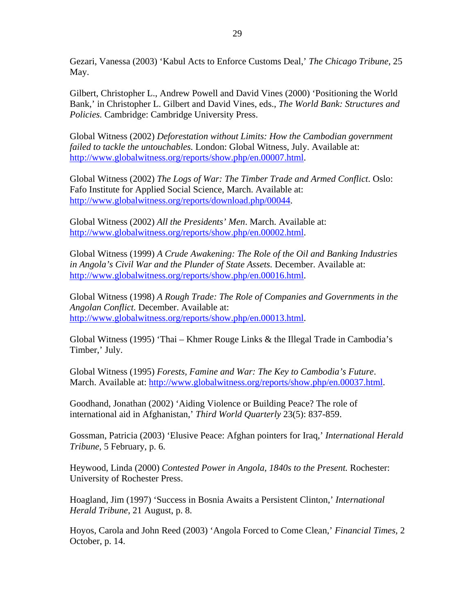Gezari, Vanessa (2003) 'Kabul Acts to Enforce Customs Deal,' *The Chicago Tribune*, 25 May.

Gilbert, Christopher L., Andrew Powell and David Vines (2000) 'Positioning the World Bank,' in Christopher L. Gilbert and David Vines, eds., *The World Bank: Structures and Policies.* Cambridge: Cambridge University Press.

Global Witness (2002) *Deforestation without Limits: How the Cambodian government failed to tackle the untouchables.* London: Global Witness, July. Available at: [http://www.globalwitness.org/reports/show.php/en.00007.html.](http://www.globalwitness.org/reports/show.php/en.00007.html)

Global Witness (2002) *The Logs of War: The Timber Trade and Armed Conflict*. Oslo: Fafo Institute for Applied Social Science, March. Available at: <http://www.globalwitness.org/reports/download.php/00044>.

Global Witness (2002) *All the Presidents' Men*. March. Available at: [http://www.globalwitness.org/reports/show.php/en.00002.html.](http://www.globalwitness.org/reports/show.php/en.00002.html)

Global Witness (1999) *A Crude Awakening: The Role of the Oil and Banking Industries in Angola's Civil War and the Plunder of State Assets.* December. Available at: [http://www.globalwitness.org/reports/show.php/en.00016.html.](http://www.globalwitness.org/reports/show.php/en.00016.html)

Global Witness (1998) *A Rough Trade: The Role of Companies and Governments in the Angolan Conflict.* December. Available at: [http://www.globalwitness.org/reports/show.php/en.00013.html.](http://www.globalwitness.org/reports/show.php/en.00013.html)

Global Witness (1995) 'Thai – Khmer Rouge Links & the Illegal Trade in Cambodia's Timber,' July.

Global Witness (1995) *Forests, Famine and War: The Key to Cambodia's Future*. March. Available at: [http://www.globalwitness.org/reports/show.php/en.00037.html.](http://www.globalwitness.org/reports/show.php/en.00037.html)

Goodhand, Jonathan (2002) 'Aiding Violence or Building Peace? The role of international aid in Afghanistan,' *Third World Quarterly* 23(5): 837-859.

Gossman, Patricia (2003) 'Elusive Peace: Afghan pointers for Iraq,' *International Herald Tribune*, 5 February, p. 6.

Heywood, Linda (2000) *Contested Power in Angola, 1840s to the Present.* Rochester: University of Rochester Press.

Hoagland, Jim (1997) 'Success in Bosnia Awaits a Persistent Clinton,' *International Herald Tribune*, 21 August, p. 8.

Hoyos, Carola and John Reed (2003) 'Angola Forced to Come Clean,' *Financial Times,* 2 October, p. 14.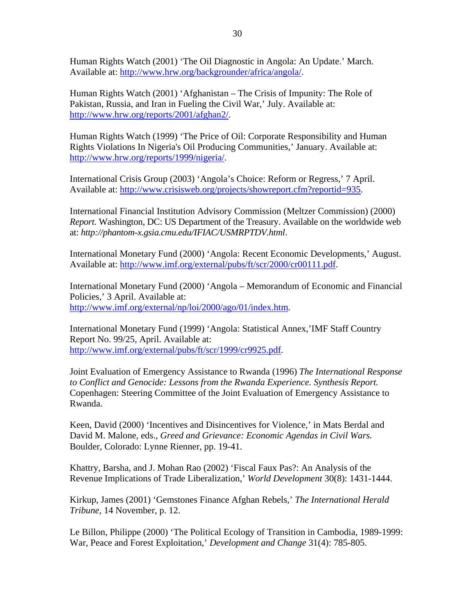Human Rights Watch (2001) 'The Oil Diagnostic in Angola: An Update.' March. Available at: [http://www.hrw.org/backgrounder/africa/angola/.](http://www.hrw.org/backgrounder/africa/angola/)

Human Rights Watch (2001) 'Afghanistan – The Crisis of Impunity: The Role of Pakistan, Russia, and Iran in Fueling the Civil War,' July. Available at: [http://www.hrw.org/reports/2001/afghan2/.](http://www.hrw.org/reports/2001/afghan2/)

Human Rights Watch (1999) 'The Price of Oil: Corporate Responsibility and Human Rights Violations In Nigeria's Oil Producing Communities,' January. Available at: <http://www.hrw.org/reports/1999/nigeria/>.

International Crisis Group (2003) 'Angola's Choice: Reform or Regress,' 7 April. Available at: <http://www.crisisweb.org/projects/showreport.cfm?reportid=935>.

International Financial Institution Advisory Commission (Meltzer Commission) (2000) *Report.* Washington, DC: US Department of the Treasury. Available on the worldwide web at: *http://phantom-x.gsia.cmu.edu/IFIAC/USMRPTDV.html*.

International Monetary Fund (2000) 'Angola: Recent Economic Developments,' August. Available at: [http://www.imf.org/external/pubs/ft/scr/2000/cr00111.pdf.](http://www.imf.org/external/pubs/ft/scr/2000/cr00111.pdf)

International Monetary Fund (2000) 'Angola – Memorandum of Economic and Financial Policies,' 3 April. Available at: [http://www.imf.org/external/np/loi/2000/ago/01/index.htm.](http://www.imf.org/external/np/loi/2000/ago/01/index.htm)

International Monetary Fund (1999) 'Angola: Statistical Annex,'IMF Staff Country Report No. 99/25, April. Available at: <http://www.imf.org/external/pubs/ft/scr/1999/cr9925.pdf>.

Joint Evaluation of Emergency Assistance to Rwanda (1996) *The International Response to Conflict and Genocide: Lessons from the Rwanda Experience. Synthesis Report.* Copenhagen: Steering Committee of the Joint Evaluation of Emergency Assistance to Rwanda.

Keen, David (2000) 'Incentives and Disincentives for Violence,' in Mats Berdal and David M. Malone, eds., *Greed and Grievance: Economic Agendas in Civil Wars.*  Boulder, Colorado: Lynne Rienner, pp. 19-41.

Khattry, Barsha, and J. Mohan Rao (2002) 'Fiscal Faux Pas?: An Analysis of the Revenue Implications of Trade Liberalization,' *World Development* 30(8): 1431-1444.

Kirkup, James (2001) 'Gemstones Finance Afghan Rebels,' *The International Herald Tribune,* 14 November, p. 12.

Le Billon, Philippe (2000) 'The Political Ecology of Transition in Cambodia, 1989-1999: War, Peace and Forest Exploitation,' *Development and Change* 31(4): 785-805.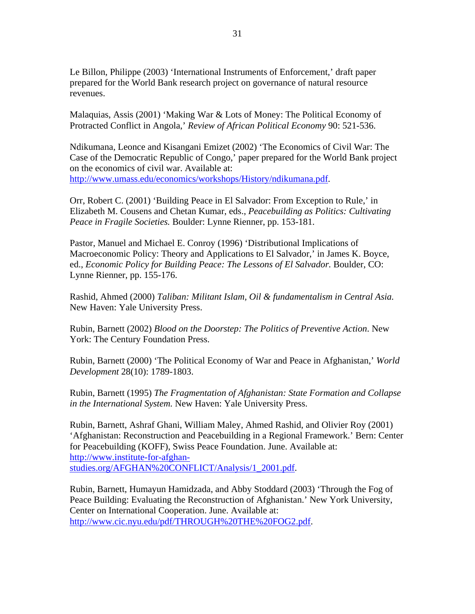Le Billon, Philippe (2003) 'International Instruments of Enforcement,' draft paper prepared for the World Bank research project on governance of natural resource revenues.

Malaquias, Assis (2001) 'Making War & Lots of Money: The Political Economy of Protracted Conflict in Angola,' *Review of African Political Economy* 90: 521-536.

Ndikumana, Leonce and Kisangani Emizet (2002) 'The Economics of Civil War: The Case of the Democratic Republic of Congo,' paper prepared for the World Bank project on the economics of civil war. Available at: [http://www.umass.edu/economics/workshops/History/ndikumana.pdf.](http://www.umass.edu/economics/workshops/History/ndikumana.pdf)

Orr, Robert C. (2001) 'Building Peace in El Salvador: From Exception to Rule,' in Elizabeth M. Cousens and Chetan Kumar, eds., *Peacebuilding as Politics: Cultivating Peace in Fragile Societies.* Boulder: Lynne Rienner, pp. 153-181.

Pastor, Manuel and Michael E. Conroy (1996) 'Distributional Implications of Macroeconomic Policy: Theory and Applications to El Salvador,' in James K. Boyce, ed., *Economic Policy for Building Peace: The Lessons of El Salvador.* Boulder, CO: Lynne Rienner, pp. 155-176.

Rashid, Ahmed (2000) *Taliban: Militant Islam, Oil & fundamentalism in Central Asia.* New Haven: Yale University Press.

Rubin, Barnett (2002) *Blood on the Doorstep: The Politics of Preventive Action*. New York: The Century Foundation Press.

Rubin, Barnett (2000) 'The Political Economy of War and Peace in Afghanistan,' *World Development* 28(10): 1789-1803.

Rubin, Barnett (1995) *The Fragmentation of Afghanistan: State Formation and Collapse in the International System.* New Haven: Yale University Press.

Rubin, Barnett, Ashraf Ghani, William Maley, Ahmed Rashid, and Olivier Roy (2001) 'Afghanistan: Reconstruction and Peacebuilding in a Regional Framework.' Bern: Center for Peacebuilding (KOFF), Swiss Peace Foundation. June. Available at: [http://www.institute-for-afghan](http://www.institute-for-afghan-studies.org/AFGHAN CONFLICT/Analysis/1_2001.pdf)[studies.org/AFGHAN%20CONFLICT/Analysis/1\\_2001.pdf.](http://www.institute-for-afghan-studies.org/AFGHAN CONFLICT/Analysis/1_2001.pdf)

Rubin, Barnett, Humayun Hamidzada, and Abby Stoddard (2003) 'Through the Fog of Peace Building: Evaluating the Reconstruction of Afghanistan.' New York University, Center on International Cooperation. June. Available at: [http://www.cic.nyu.edu/pdf/THROUGH%20THE%20FOG2.pdf.](http://www.cic.nyu.edu/pdf/THROUGH THE FOG2.pdf)